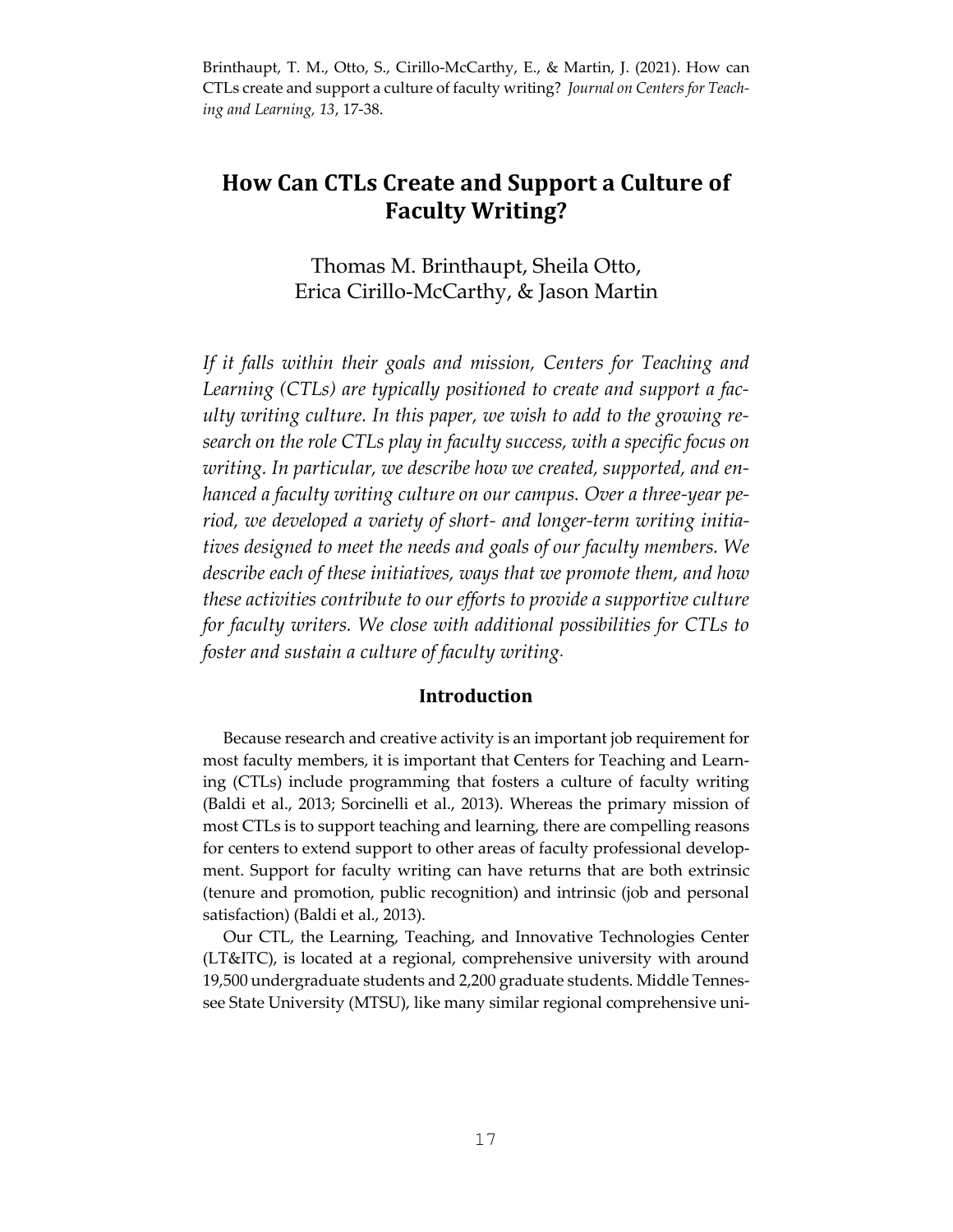Brinthaupt, T. M., Otto, S., Cirillo-McCarthy, E., & Martin, J. (2021). How can CTLs create and support a culture of faculty writing? *Journal on Centers for Teaching and Learning, 13*, 17-38.

# **How Can CTLs Create and Support a Culture of Faculty Writing?**

Thomas M. Brinthaupt, Sheila Otto, Erica Cirillo-McCarthy, & Jason Martin

*If it falls within their goals and mission, Centers for Teaching and Learning (CTLs) are typically positioned to create and support a faculty writing culture. In this paper, we wish to add to the growing research on the role CTLs play in faculty success, with a specific focus on writing. In particular, we describe how we created, supported, and enhanced a faculty writing culture on our campus. Over a three-year period, we developed a variety of short- and longer-term writing initiatives designed to meet the needs and goals of our faculty members. We describe each of these initiatives, ways that we promote them, and how these activities contribute to our efforts to provide a supportive culture for faculty writers. We close with additional possibilities for CTLs to foster and sustain a culture of faculty writing*.

# **Introduction**

 Because research and creative activity is an important job requirement for most faculty members, it is important that Centers for Teaching and Learning (CTLs) include programming that fosters a culture of faculty writing (Baldi et al., 2013; Sorcinelli et al., 2013). Whereas the primary mission of most CTLs is to support teaching and learning, there are compelling reasons for centers to extend support to other areas of faculty professional development. Support for faculty writing can have returns that are both extrinsic (tenure and promotion, public recognition) and intrinsic (job and personal satisfaction) (Baldi et al., 2013).

 Our CTL, the Learning, Teaching, and Innovative Technologies Center (LT&ITC), is located at a regional, comprehensive university with around 19,500 undergraduate students and 2,200 graduate students. Middle Tennessee State University (MTSU), like many similar regional comprehensive uni-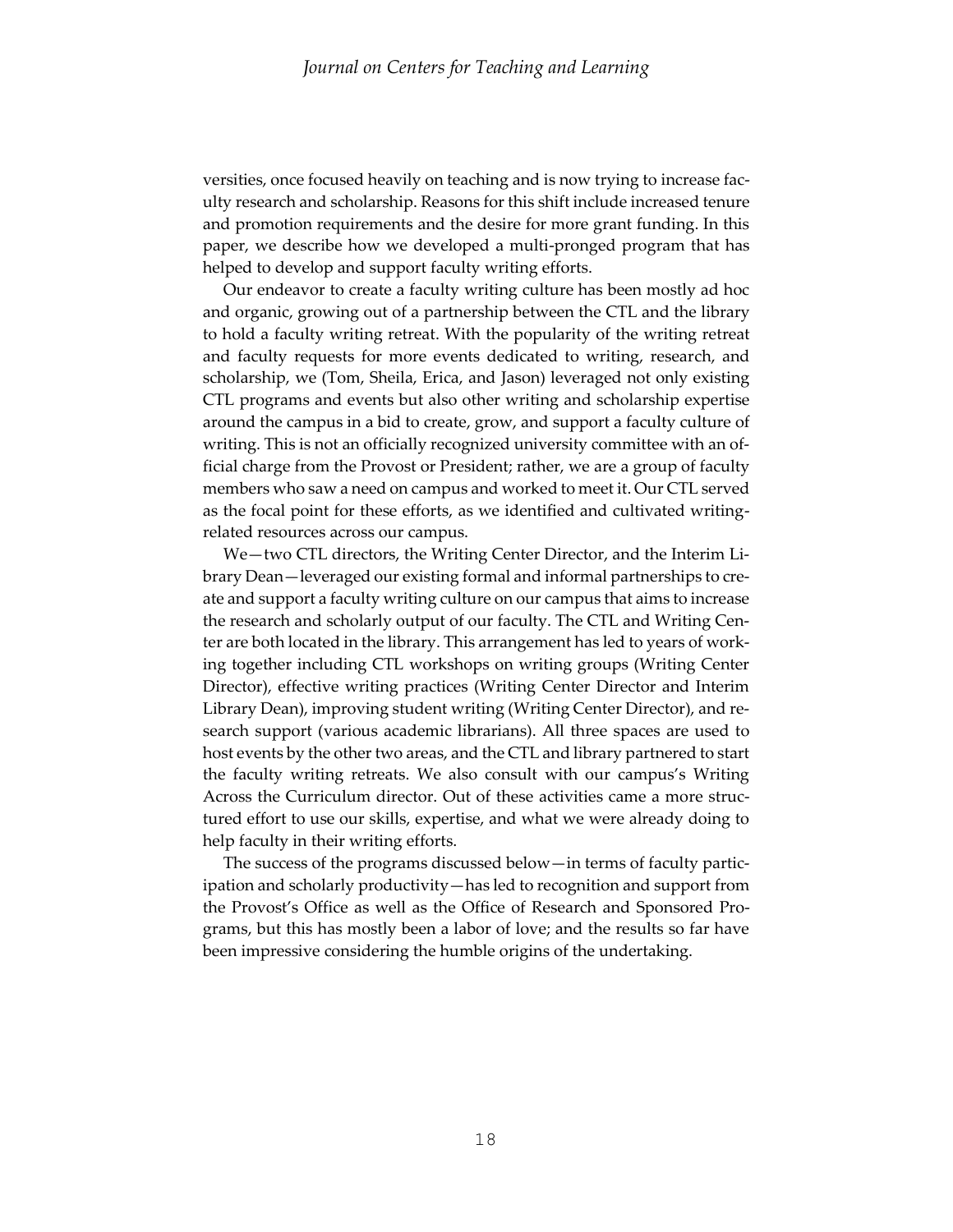versities, once focused heavily on teaching and is now trying to increase faculty research and scholarship. Reasons for this shift include increased tenure and promotion requirements and the desire for more grant funding. In this paper, we describe how we developed a multi-pronged program that has helped to develop and support faculty writing efforts.

 Our endeavor to create a faculty writing culture has been mostly ad hoc and organic, growing out of a partnership between the CTL and the library to hold a faculty writing retreat. With the popularity of the writing retreat and faculty requests for more events dedicated to writing, research, and scholarship, we (Tom, Sheila, Erica, and Jason) leveraged not only existing CTL programs and events but also other writing and scholarship expertise around the campus in a bid to create, grow, and support a faculty culture of writing. This is not an officially recognized university committee with an official charge from the Provost or President; rather, we are a group of faculty members who saw a need on campus and worked to meet it. Our CTL served as the focal point for these efforts, as we identified and cultivated writingrelated resources across our campus.

 We—two CTL directors, the Writing Center Director, and the Interim Library Dean—leveraged our existing formal and informal partnerships to create and support a faculty writing culture on our campus that aims to increase the research and scholarly output of our faculty. The CTL and Writing Center are both located in the library. This arrangement has led to years of working together including CTL workshops on writing groups (Writing Center Director), effective writing practices (Writing Center Director and Interim Library Dean), improving student writing (Writing Center Director), and research support (various academic librarians). All three spaces are used to host events by the other two areas, and the CTL and library partnered to start the faculty writing retreats. We also consult with our campus's Writing Across the Curriculum director. Out of these activities came a more structured effort to use our skills, expertise, and what we were already doing to help faculty in their writing efforts.

 The success of the programs discussed below—in terms of faculty participation and scholarly productivity—has led to recognition and support from the Provost's Office as well as the Office of Research and Sponsored Programs, but this has mostly been a labor of love; and the results so far have been impressive considering the humble origins of the undertaking.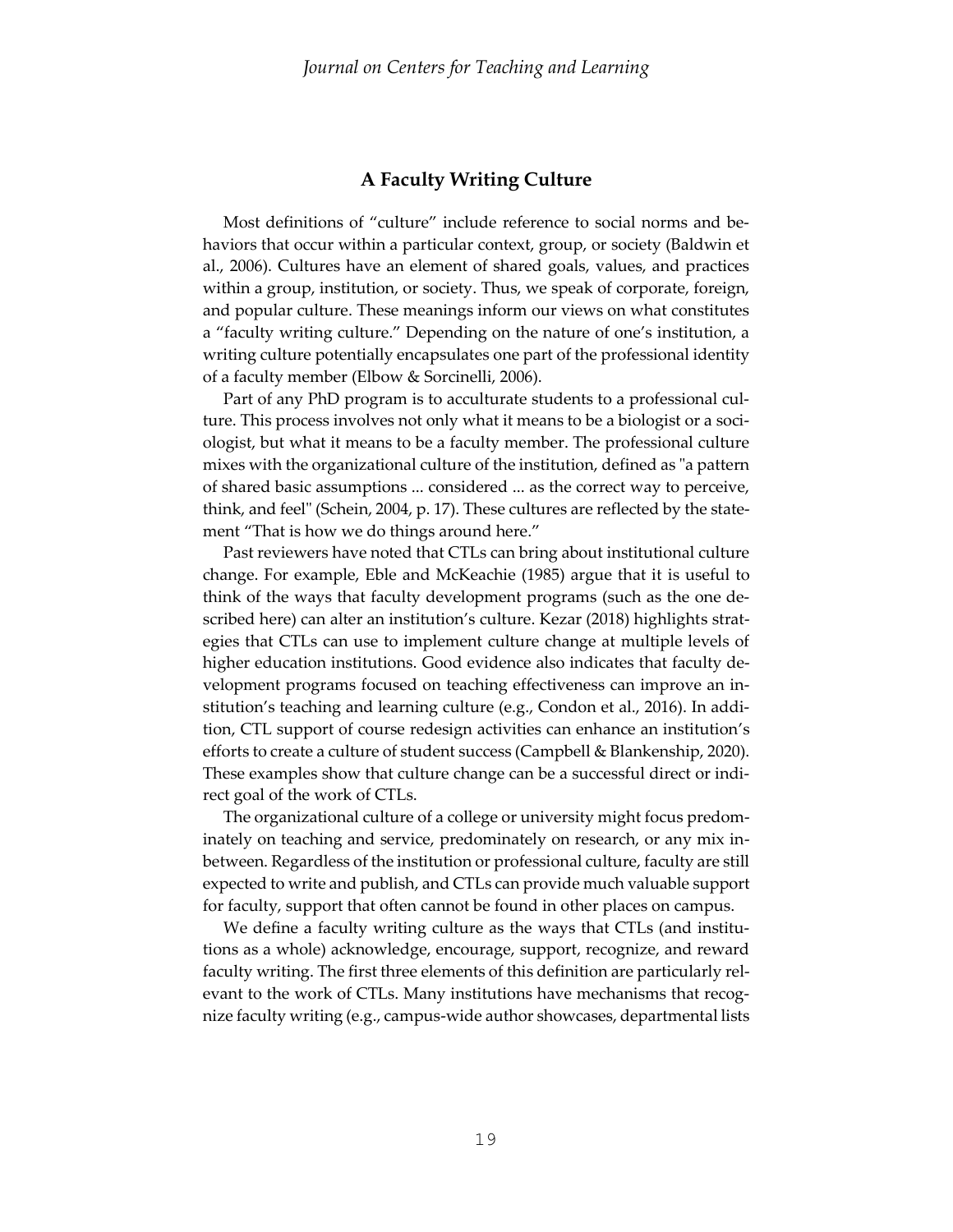# **A Faculty Writing Culture**

 Most definitions of "culture" include reference to social norms and behaviors that occur within a particular context, group, or society (Baldwin et al., 2006). Cultures have an element of shared goals, values, and practices within a group, institution, or society. Thus, we speak of corporate, foreign, and popular culture. These meanings inform our views on what constitutes a "faculty writing culture." Depending on the nature of one's institution, a writing culture potentially encapsulates one part of the professional identity of a faculty member (Elbow & Sorcinelli, 2006).

 Part of any PhD program is to acculturate students to a professional culture. This process involves not only what it means to be a biologist or a sociologist, but what it means to be a faculty member. The professional culture mixes with the organizational culture of the institution, defined as "a pattern of shared basic assumptions ... considered ... as the correct way to perceive, think, and feel" (Schein, 2004, p. 17). These cultures are reflected by the statement "That is how we do things around here."

 Past reviewers have noted that CTLs can bring about institutional culture change. For example, Eble and McKeachie (1985) argue that it is useful to think of the ways that faculty development programs (such as the one described here) can alter an institution's culture. Kezar (2018) highlights strategies that CTLs can use to implement culture change at multiple levels of higher education institutions. Good evidence also indicates that faculty development programs focused on teaching effectiveness can improve an institution's teaching and learning culture (e.g., Condon et al., 2016). In addition, CTL support of course redesign activities can enhance an institution's efforts to create a culture of student success (Campbell & Blankenship, 2020). These examples show that culture change can be a successful direct or indirect goal of the work of CTLs.

 The organizational culture of a college or university might focus predominately on teaching and service, predominately on research, or any mix inbetween. Regardless of the institution or professional culture, faculty are still expected to write and publish, and CTLs can provide much valuable support for faculty, support that often cannot be found in other places on campus.

 We define a faculty writing culture as the ways that CTLs (and institutions as a whole) acknowledge, encourage, support, recognize, and reward faculty writing. The first three elements of this definition are particularly relevant to the work of CTLs. Many institutions have mechanisms that recognize faculty writing (e.g., campus-wide author showcases, departmental lists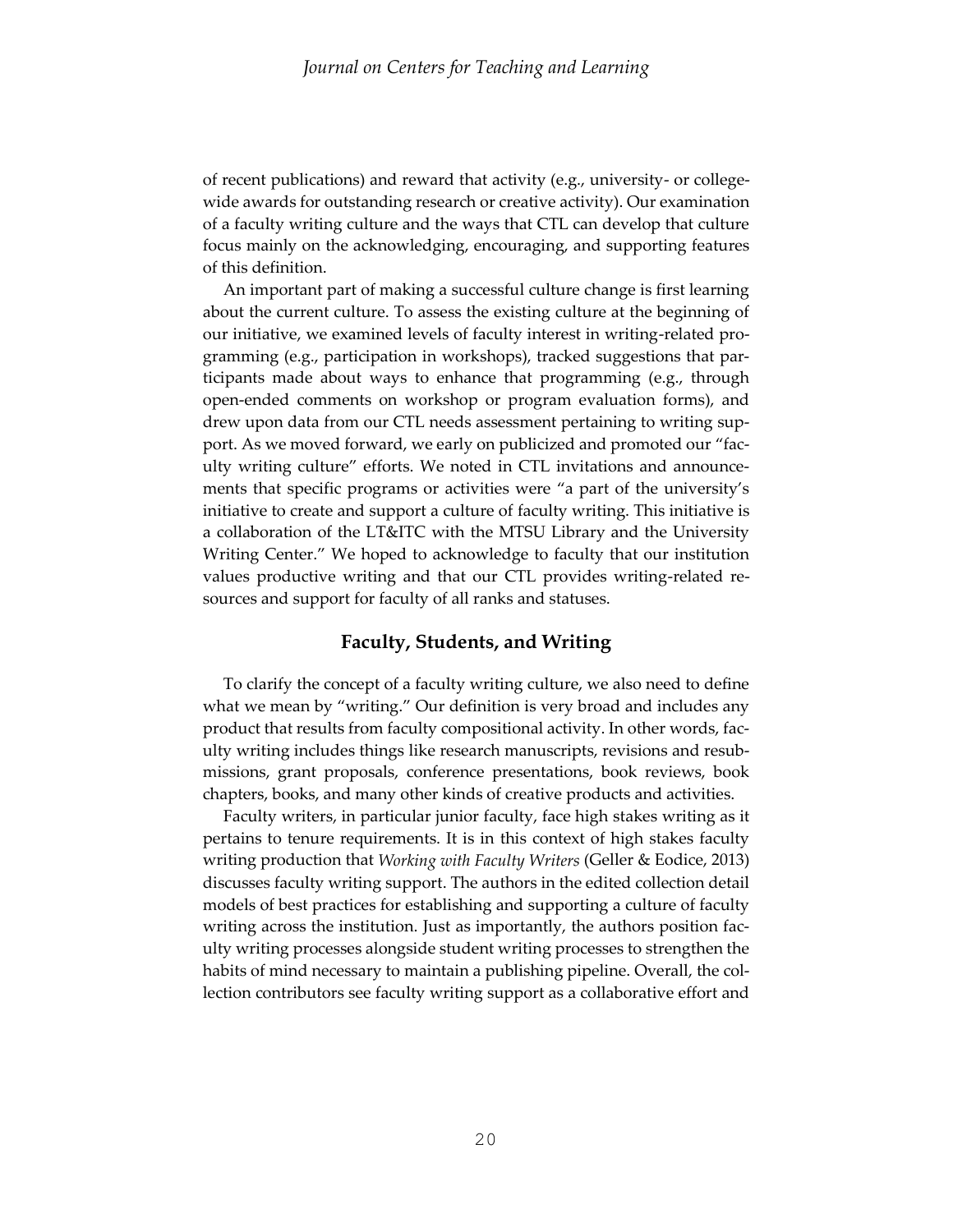of recent publications) and reward that activity (e.g., university- or collegewide awards for outstanding research or creative activity). Our examination of a faculty writing culture and the ways that CTL can develop that culture focus mainly on the acknowledging, encouraging, and supporting features of this definition.

 An important part of making a successful culture change is first learning about the current culture. To assess the existing culture at the beginning of our initiative, we examined levels of faculty interest in writing-related programming (e.g., participation in workshops), tracked suggestions that participants made about ways to enhance that programming (e.g., through open-ended comments on workshop or program evaluation forms), and drew upon data from our CTL needs assessment pertaining to writing support. As we moved forward, we early on publicized and promoted our "faculty writing culture" efforts. We noted in CTL invitations and announcements that specific programs or activities were "a part of the university's initiative to create and support a culture of faculty writing. This initiative is a collaboration of the LT&ITC with the MTSU Library and the University Writing Center." We hoped to acknowledge to faculty that our institution values productive writing and that our CTL provides writing-related resources and support for faculty of all ranks and statuses.

# **Faculty, Students, and Writing**

 To clarify the concept of a faculty writing culture, we also need to define what we mean by "writing." Our definition is very broad and includes any product that results from faculty compositional activity. In other words, faculty writing includes things like research manuscripts, revisions and resubmissions, grant proposals, conference presentations, book reviews, book chapters, books, and many other kinds of creative products and activities.

 Faculty writers, in particular junior faculty, face high stakes writing as it pertains to tenure requirements. It is in this context of high stakes faculty writing production that *Working with Faculty Writers* (Geller & Eodice, 2013) discusses faculty writing support. The authors in the edited collection detail models of best practices for establishing and supporting a culture of faculty writing across the institution. Just as importantly, the authors position faculty writing processes alongside student writing processes to strengthen the habits of mind necessary to maintain a publishing pipeline. Overall, the collection contributors see faculty writing support as a collaborative effort and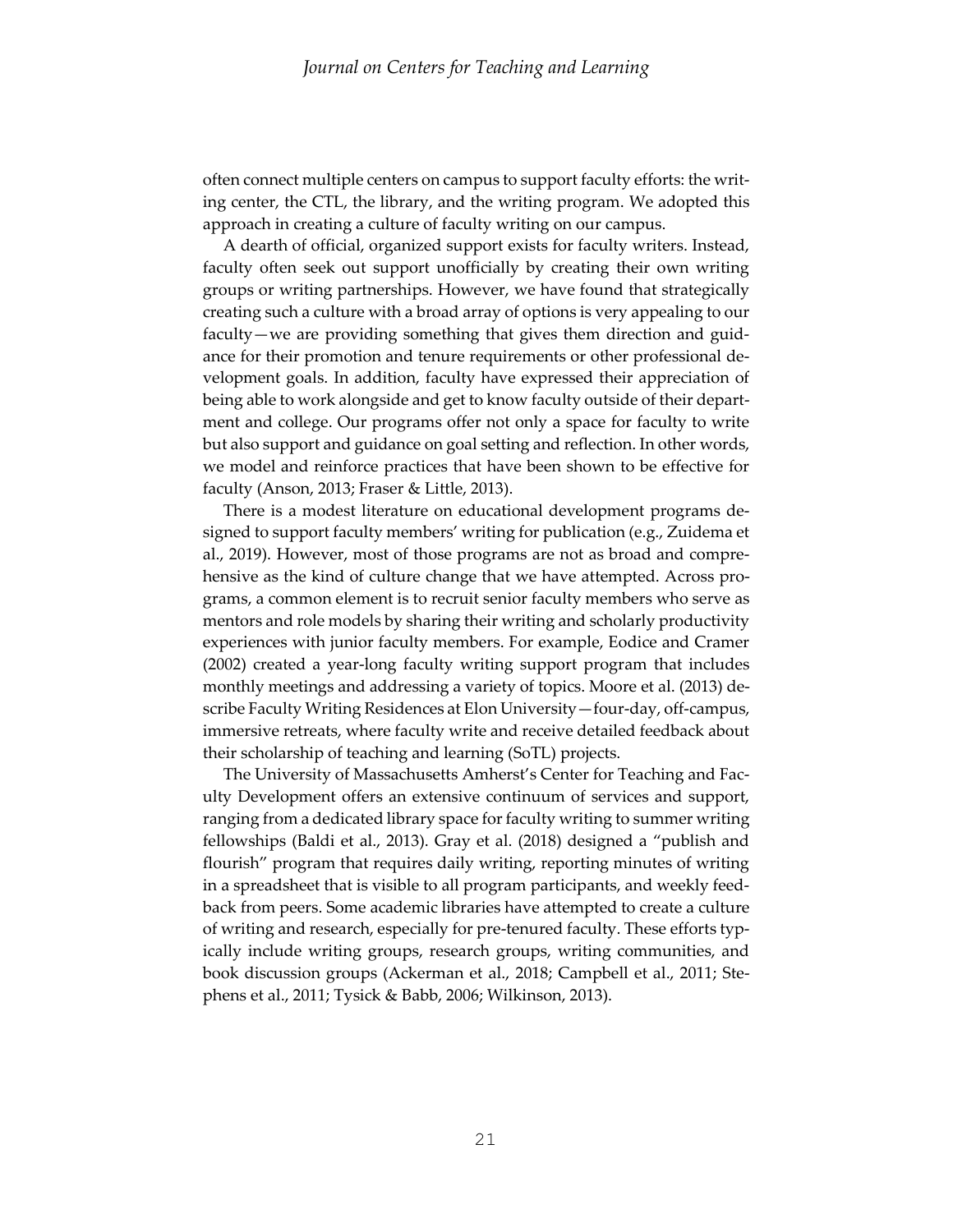often connect multiple centers on campus to support faculty efforts: the writing center, the CTL, the library, and the writing program. We adopted this approach in creating a culture of faculty writing on our campus.

 A dearth of official, organized support exists for faculty writers. Instead, faculty often seek out support unofficially by creating their own writing groups or writing partnerships. However, we have found that strategically creating such a culture with a broad array of options is very appealing to our faculty—we are providing something that gives them direction and guidance for their promotion and tenure requirements or other professional development goals. In addition, faculty have expressed their appreciation of being able to work alongside and get to know faculty outside of their department and college. Our programs offer not only a space for faculty to write but also support and guidance on goal setting and reflection. In other words, we model and reinforce practices that have been shown to be effective for faculty (Anson, 2013; Fraser & Little, 2013).

 There is a modest literature on educational development programs designed to support faculty members' writing for publication (e.g., Zuidema et al., 2019). However, most of those programs are not as broad and comprehensive as the kind of culture change that we have attempted. Across programs, a common element is to recruit senior faculty members who serve as mentors and role models by sharing their writing and scholarly productivity experiences with junior faculty members. For example, Eodice and Cramer (2002) created a year-long faculty writing support program that includes monthly meetings and addressing a variety of topics. Moore et al. (2013) describe Faculty Writing Residences at Elon University—four-day, off-campus, immersive retreats, where faculty write and receive detailed feedback about their scholarship of teaching and learning (SoTL) projects.

 The University of Massachusetts Amherst's Center for Teaching and Faculty Development offers an extensive continuum of services and support, ranging from a dedicated library space for faculty writing to summer writing fellowships (Baldi et al., 2013). Gray et al. (2018) designed a "publish and flourish" program that requires daily writing, reporting minutes of writing in a spreadsheet that is visible to all program participants, and weekly feedback from peers. Some academic libraries have attempted to create a culture of writing and research, especially for pre-tenured faculty. These efforts typically include writing groups, research groups, writing communities, and book discussion groups (Ackerman et al., 2018; Campbell et al., 2011; Stephens et al., 2011; Tysick & Babb, 2006; Wilkinson, 2013).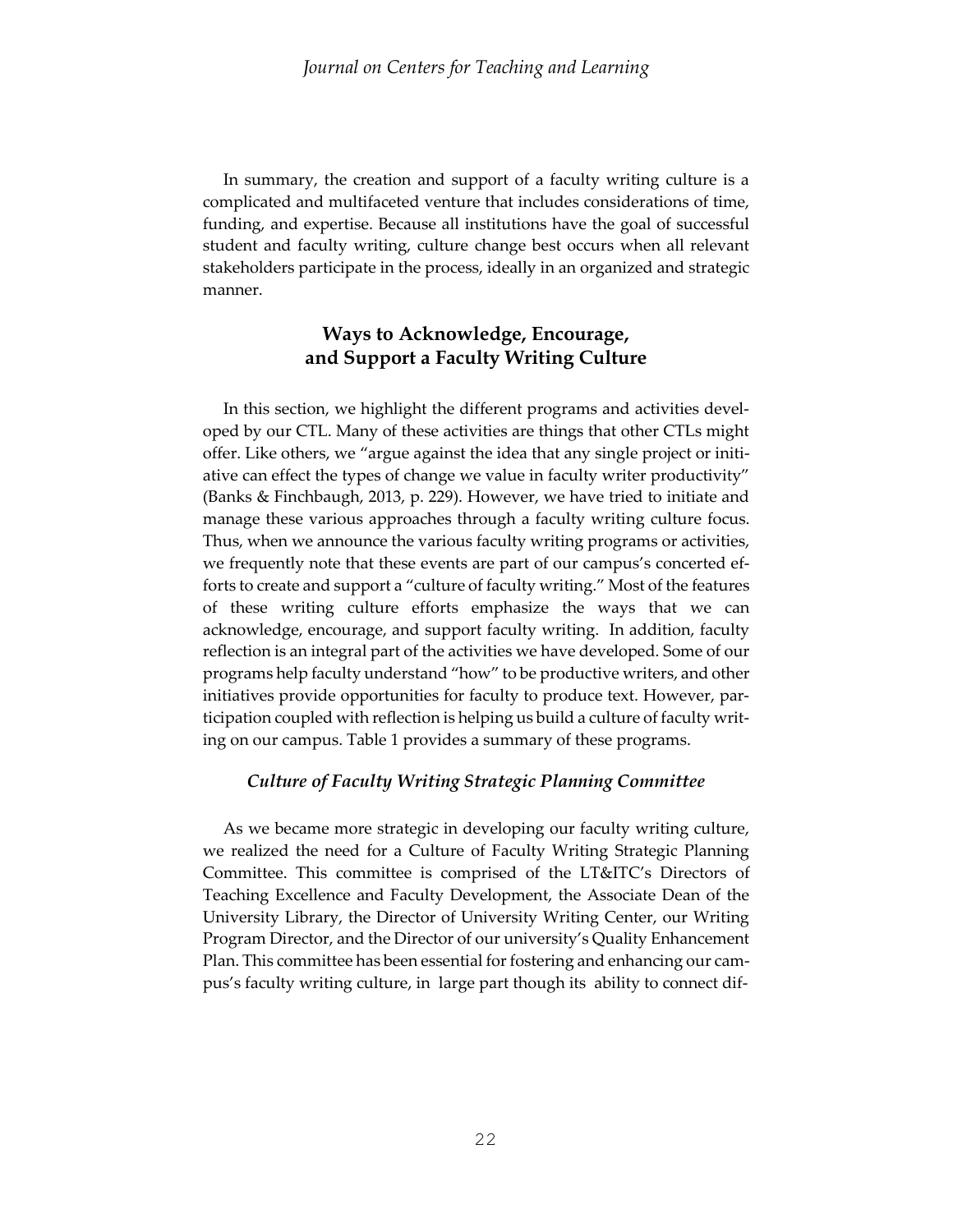In summary, the creation and support of a faculty writing culture is a complicated and multifaceted venture that includes considerations of time, funding, and expertise. Because all institutions have the goal of successful student and faculty writing, culture change best occurs when all relevant stakeholders participate in the process, ideally in an organized and strategic manner.

# **Ways to Acknowledge, Encourage, and Support a Faculty Writing Culture**

 In this section, we highlight the different programs and activities developed by our CTL. Many of these activities are things that other CTLs might offer. Like others, we "argue against the idea that any single project or initiative can effect the types of change we value in faculty writer productivity" (Banks & Finchbaugh, 2013, p. 229). However, we have tried to initiate and manage these various approaches through a faculty writing culture focus. Thus, when we announce the various faculty writing programs or activities, we frequently note that these events are part of our campus's concerted efforts to create and support a "culture of faculty writing." Most of the features of these writing culture efforts emphasize the ways that we can acknowledge, encourage, and support faculty writing. In addition, faculty reflection is an integral part of the activities we have developed. Some of our programs help faculty understand "how" to be productive writers, and other initiatives provide opportunities for faculty to produce text. However, participation coupled with reflection is helping us build a culture of faculty writing on our campus. Table 1 provides a summary of these programs.

# *Culture of Faculty Writing Strategic Planning Committee*

 As we became more strategic in developing our faculty writing culture, we realized the need for a Culture of Faculty Writing Strategic Planning Committee. This committee is comprised of the LT&ITC's Directors of Teaching Excellence and Faculty Development, the Associate Dean of the University Library, the Director of University Writing Center, our Writing Program Director, and the Director of our university's Quality Enhancement Plan. This committee has been essential for fostering and enhancing our campus's faculty writing culture, in large part though its ability to connect dif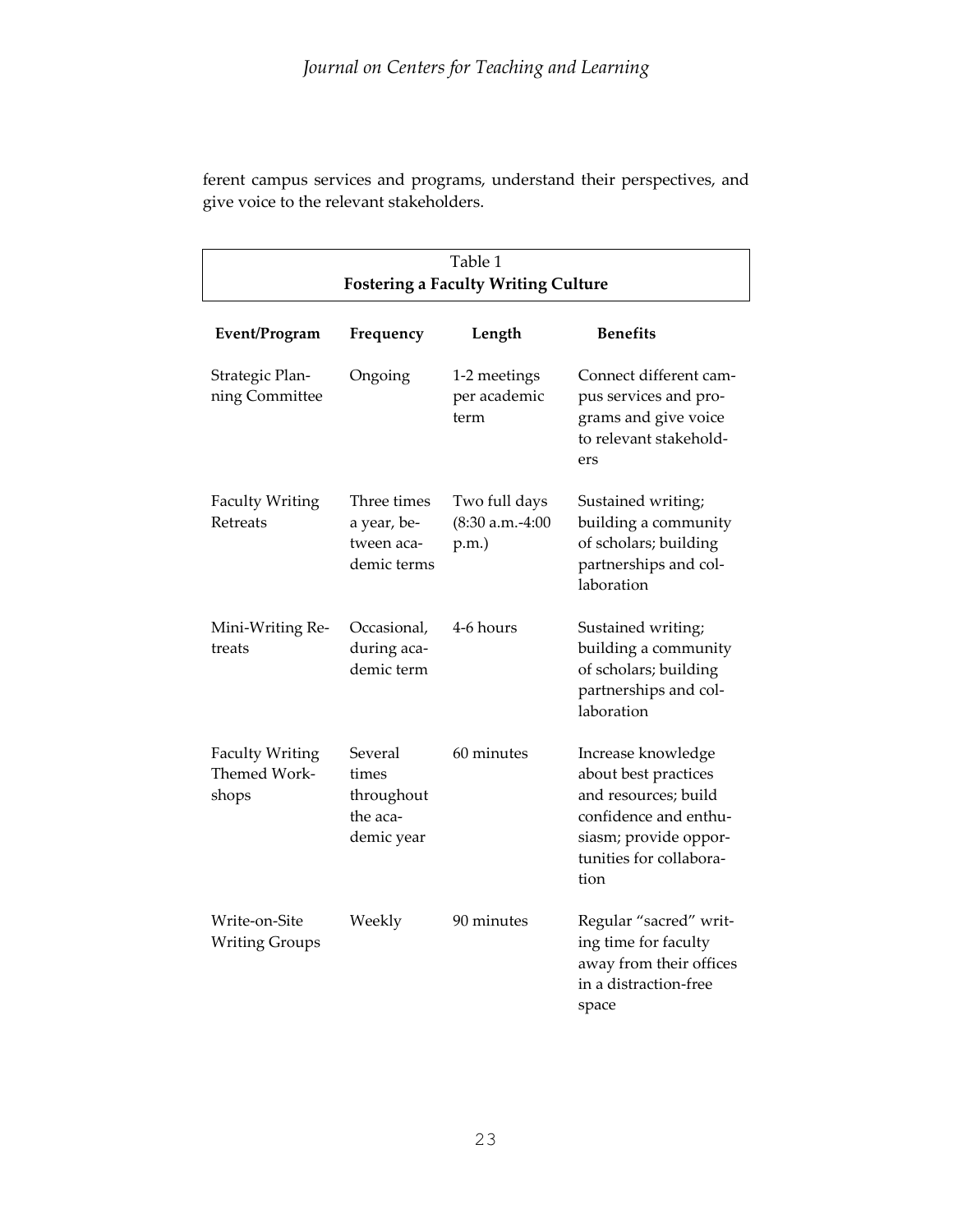ferent campus services and programs, understand their perspectives, and give voice to the relevant stakeholders.

| Table 1                                         |                                                          |                                                |                                                                                                                                                         |  |  |  |  |
|-------------------------------------------------|----------------------------------------------------------|------------------------------------------------|---------------------------------------------------------------------------------------------------------------------------------------------------------|--|--|--|--|
| <b>Fostering a Faculty Writing Culture</b>      |                                                          |                                                |                                                                                                                                                         |  |  |  |  |
| Event/Program                                   | Frequency                                                | Length                                         | <b>Benefits</b>                                                                                                                                         |  |  |  |  |
| Strategic Plan-<br>ning Committee               | Ongoing                                                  | 1-2 meetings<br>per academic<br>term           | Connect different cam-<br>pus services and pro-<br>grams and give voice<br>to relevant stakehold-<br>ers                                                |  |  |  |  |
| <b>Faculty Writing</b><br>Retreats              | Three times<br>a year, be-<br>tween aca-<br>demic terms  | Two full days<br>$(8:30 a.m.-4:00$<br>$p.m.$ ) | Sustained writing;<br>building a community<br>of scholars; building<br>partnerships and col-<br>laboration                                              |  |  |  |  |
| Mini-Writing Re-<br>treats                      | Occasional,<br>during aca-<br>demic term                 | 4-6 hours                                      | Sustained writing;<br>building a community<br>of scholars; building<br>partnerships and col-<br>laboration                                              |  |  |  |  |
| <b>Faculty Writing</b><br>Themed Work-<br>shops | Several<br>times<br>throughout<br>the aca-<br>demic year | 60 minutes                                     | Increase knowledge<br>about best practices<br>and resources; build<br>confidence and enthu-<br>siasm; provide oppor-<br>tunities for collabora-<br>tion |  |  |  |  |
| Write-on-Site<br><b>Writing Groups</b>          | Weekly                                                   | 90 minutes                                     | Regular "sacred" writ-<br>ing time for faculty<br>away from their offices<br>in a distraction-free<br>space                                             |  |  |  |  |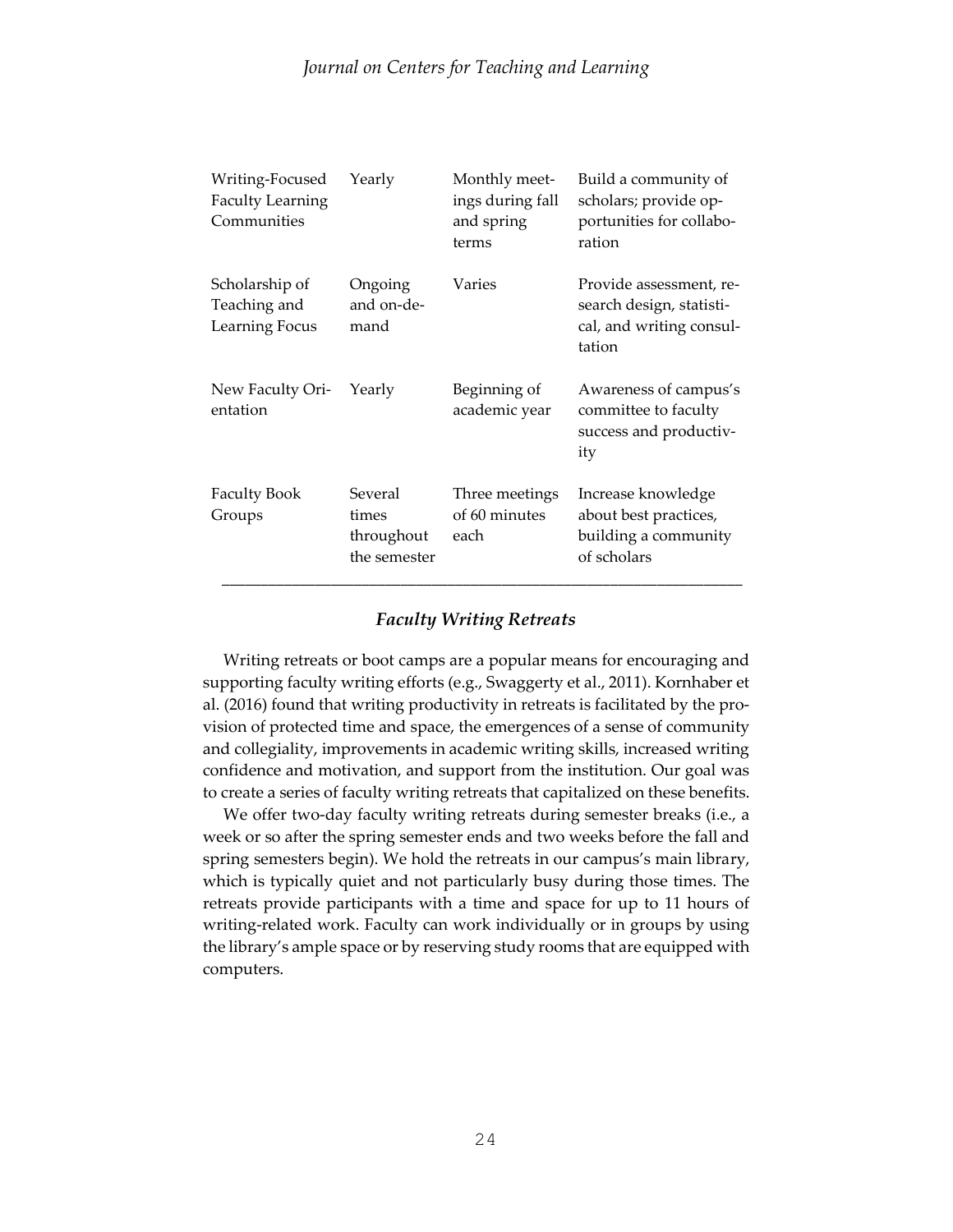| Writing-Focused<br><b>Faculty Learning</b><br>Communities | Yearly                                         | Monthly meet-<br>ings during fall<br>and spring<br>terms | Build a community of<br>scholars; provide op-<br>portunities for collabo-<br>ration<br>Provide assessment, re-<br>search design, statisti-<br>cal, and writing consul-<br>tation |  |
|-----------------------------------------------------------|------------------------------------------------|----------------------------------------------------------|----------------------------------------------------------------------------------------------------------------------------------------------------------------------------------|--|
| Scholarship of<br>Teaching and<br>Learning Focus          | Ongoing<br>and on-de-<br>mand                  | Varies                                                   |                                                                                                                                                                                  |  |
| New Faculty Ori-<br>entation                              | Yearly                                         | Beginning of<br>academic year                            | Awareness of campus's<br>committee to faculty<br>success and productiv-<br>ity                                                                                                   |  |
| <b>Faculty Book</b><br>Groups                             | Several<br>times<br>throughout<br>the semester | Three meetings<br>of 60 minutes<br>each                  | Increase knowledge<br>about best practices,<br>building a community<br>of scholars                                                                                               |  |

# *Faculty Writing Retreats*

 Writing retreats or boot camps are a popular means for encouraging and supporting faculty writing efforts (e.g., Swaggerty et al., 2011). Kornhaber et al. (2016) found that writing productivity in retreats is facilitated by the provision of protected time and space, the emergences of a sense of community and collegiality, improvements in academic writing skills, increased writing confidence and motivation, and support from the institution. Our goal was to create a series of faculty writing retreats that capitalized on these benefits.

 We offer two-day faculty writing retreats during semester breaks (i.e., a week or so after the spring semester ends and two weeks before the fall and spring semesters begin). We hold the retreats in our campus's main library, which is typically quiet and not particularly busy during those times. The retreats provide participants with a time and space for up to 11 hours of writing-related work. Faculty can work individually or in groups by using the library's ample space or by reserving study rooms that are equipped with computers.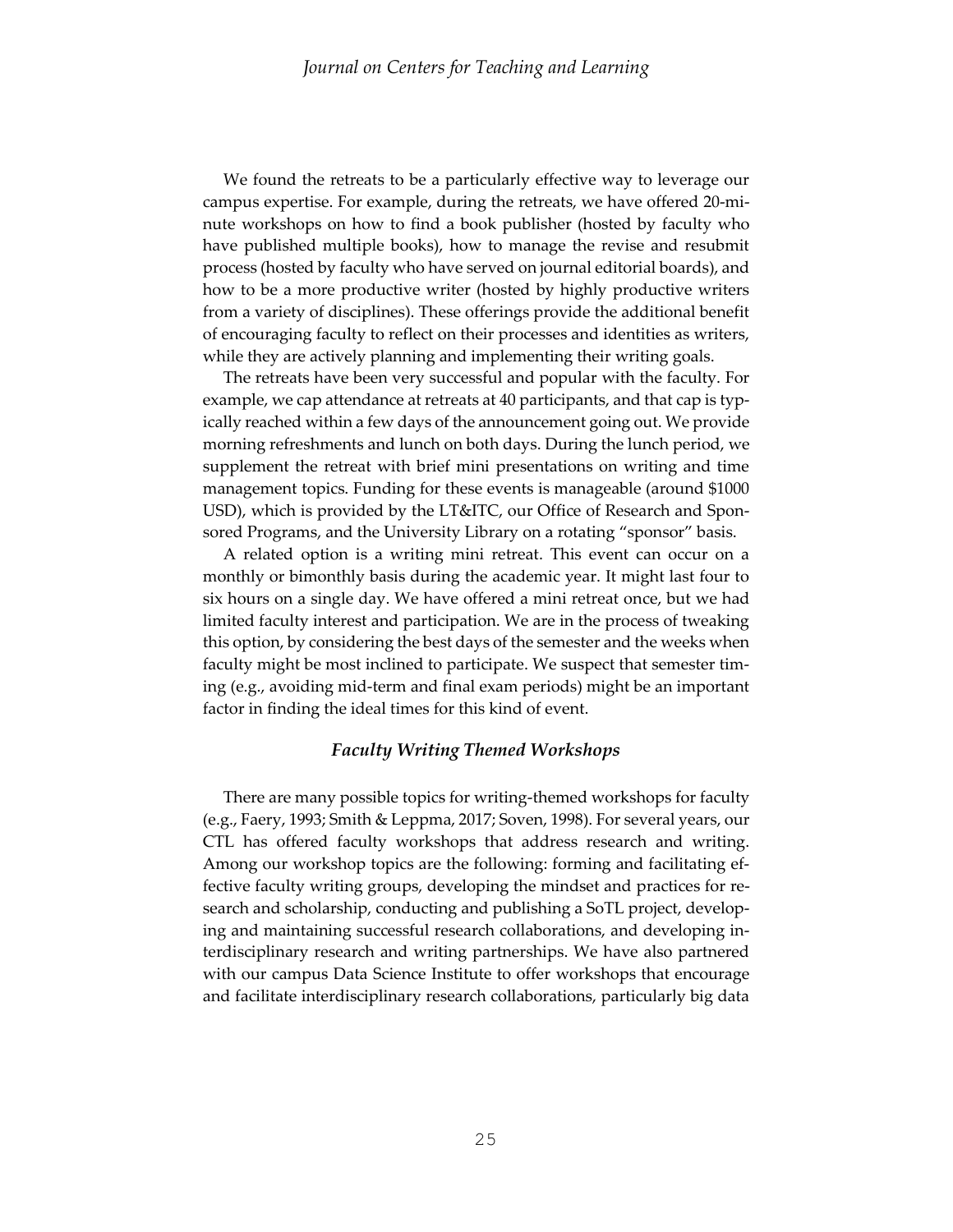We found the retreats to be a particularly effective way to leverage our campus expertise. For example, during the retreats, we have offered 20-minute workshops on how to find a book publisher (hosted by faculty who have published multiple books), how to manage the revise and resubmit process (hosted by faculty who have served on journal editorial boards), and how to be a more productive writer (hosted by highly productive writers from a variety of disciplines). These offerings provide the additional benefit of encouraging faculty to reflect on their processes and identities as writers, while they are actively planning and implementing their writing goals.

 The retreats have been very successful and popular with the faculty. For example, we cap attendance at retreats at 40 participants, and that cap is typically reached within a few days of the announcement going out. We provide morning refreshments and lunch on both days. During the lunch period, we supplement the retreat with brief mini presentations on writing and time management topics. Funding for these events is manageable (around \$1000 USD), which is provided by the LT&ITC, our Office of Research and Sponsored Programs, and the University Library on a rotating "sponsor" basis.

 A related option is a writing mini retreat. This event can occur on a monthly or bimonthly basis during the academic year. It might last four to six hours on a single day. We have offered a mini retreat once, but we had limited faculty interest and participation. We are in the process of tweaking this option, by considering the best days of the semester and the weeks when faculty might be most inclined to participate. We suspect that semester timing (e.g., avoiding mid-term and final exam periods) might be an important factor in finding the ideal times for this kind of event.

#### *Faculty Writing Themed Workshops*

There are many possible topics for writing-themed workshops for faculty (e.g., Faery, 1993; Smith & Leppma, 2017; Soven, 1998). For several years, our CTL has offered faculty workshops that address research and writing. Among our workshop topics are the following: forming and facilitating effective faculty writing groups, developing the mindset and practices for research and scholarship, conducting and publishing a SoTL project, developing and maintaining successful research collaborations, and developing interdisciplinary research and writing partnerships. We have also partnered with our campus Data Science Institute to offer workshops that encourage and facilitate interdisciplinary research collaborations, particularly big data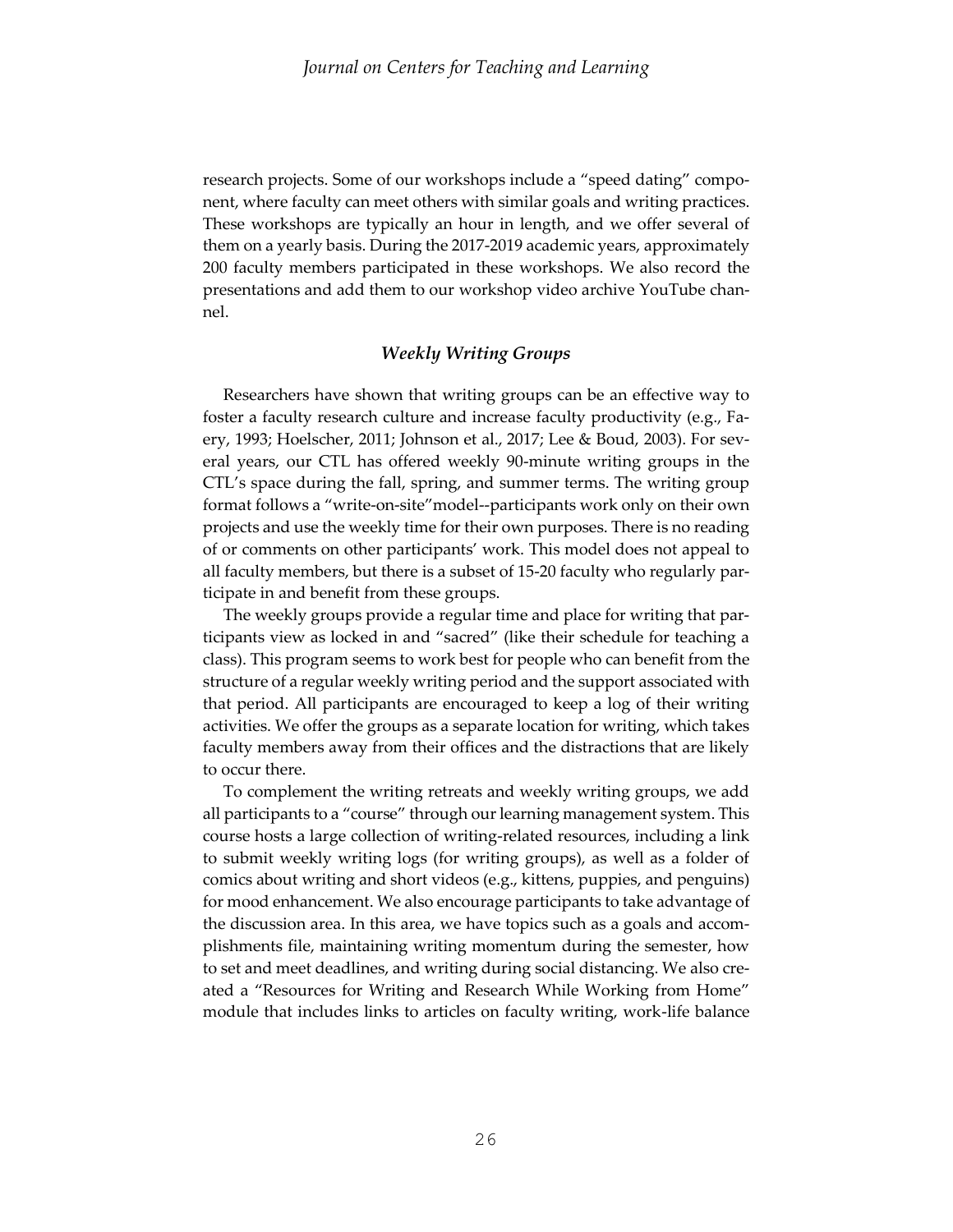research projects. Some of our workshops include a "speed dating" component, where faculty can meet others with similar goals and writing practices. These workshops are typically an hour in length, and we offer several of them on a yearly basis. During the 2017-2019 academic years, approximately 200 faculty members participated in these workshops. We also record the presentations and add them to our workshop video archive YouTube channel.

# *Weekly Writing Groups*

 Researchers have shown that writing groups can be an effective way to foster a faculty research culture and increase faculty productivity (e.g., Faery, 1993; Hoelscher, 2011; Johnson et al., 2017; Lee & Boud, 2003). For several years, our CTL has offered weekly 90-minute writing groups in the CTL's space during the fall, spring, and summer terms. The writing group format follows a "write-on-site"model--participants work only on their own projects and use the weekly time for their own purposes. There is no reading of or comments on other participants' work. This model does not appeal to all faculty members, but there is a subset of 15-20 faculty who regularly participate in and benefit from these groups.

 The weekly groups provide a regular time and place for writing that participants view as locked in and "sacred" (like their schedule for teaching a class). This program seems to work best for people who can benefit from the structure of a regular weekly writing period and the support associated with that period. All participants are encouraged to keep a log of their writing activities. We offer the groups as a separate location for writing, which takes faculty members away from their offices and the distractions that are likely to occur there.

 To complement the writing retreats and weekly writing groups, we add all participants to a "course" through our learning management system. This course hosts a large collection of writing-related resources, including a link to submit weekly writing logs (for writing groups), as well as a folder of comics about writing and short videos (e.g., kittens, puppies, and penguins) for mood enhancement. We also encourage participants to take advantage of the discussion area. In this area, we have topics such as a goals and accomplishments file, maintaining writing momentum during the semester, how to set and meet deadlines, and writing during social distancing. We also created a "Resources for Writing and Research While Working from Home" module that includes links to articles on faculty writing, work-life balance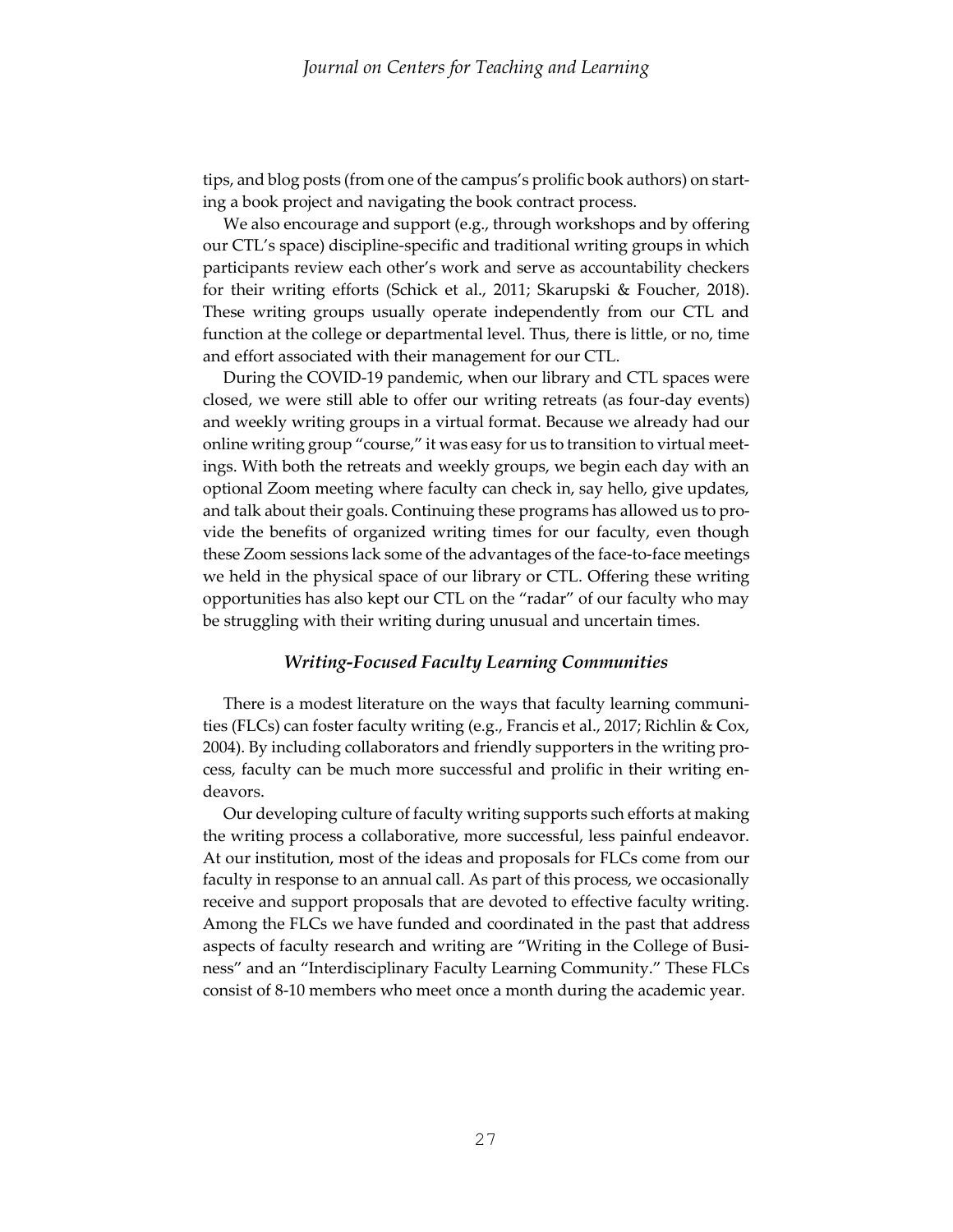tips, and blog posts (from one of the campus's prolific book authors) on starting a book project and navigating the book contract process.

We also encourage and support (e.g., through workshops and by offering our CTL's space) discipline-specific and traditional writing groups in which participants review each other's work and serve as accountability checkers for their writing efforts (Schick et al., 2011; Skarupski & Foucher, 2018). These writing groups usually operate independently from our CTL and function at the college or departmental level. Thus, there is little, or no, time and effort associated with their management for our CTL.

 During the COVID-19 pandemic, when our library and CTL spaces were closed, we were still able to offer our writing retreats (as four-day events) and weekly writing groups in a virtual format. Because we already had our online writing group "course," it was easy for us to transition to virtual meetings. With both the retreats and weekly groups, we begin each day with an optional Zoom meeting where faculty can check in, say hello, give updates, and talk about their goals. Continuing these programs has allowed us to provide the benefits of organized writing times for our faculty, even though these Zoom sessions lack some of the advantages of the face-to-face meetings we held in the physical space of our library or CTL. Offering these writing opportunities has also kept our CTL on the "radar" of our faculty who may be struggling with their writing during unusual and uncertain times.

#### *Writing-Focused Faculty Learning Communities*

 There is a modest literature on the ways that faculty learning communities (FLCs) can foster faculty writing (e.g., Francis et al., 2017; Richlin & Cox, 2004). By including collaborators and friendly supporters in the writing process, faculty can be much more successful and prolific in their writing endeavors.

 Our developing culture of faculty writing supports such efforts at making the writing process a collaborative, more successful, less painful endeavor. At our institution, most of the ideas and proposals for FLCs come from our faculty in response to an annual call. As part of this process, we occasionally receive and support proposals that are devoted to effective faculty writing. Among the FLCs we have funded and coordinated in the past that address aspects of faculty research and writing are "Writing in the College of Business" and an "Interdisciplinary Faculty Learning Community." These FLCs consist of 8-10 members who meet once a month during the academic year.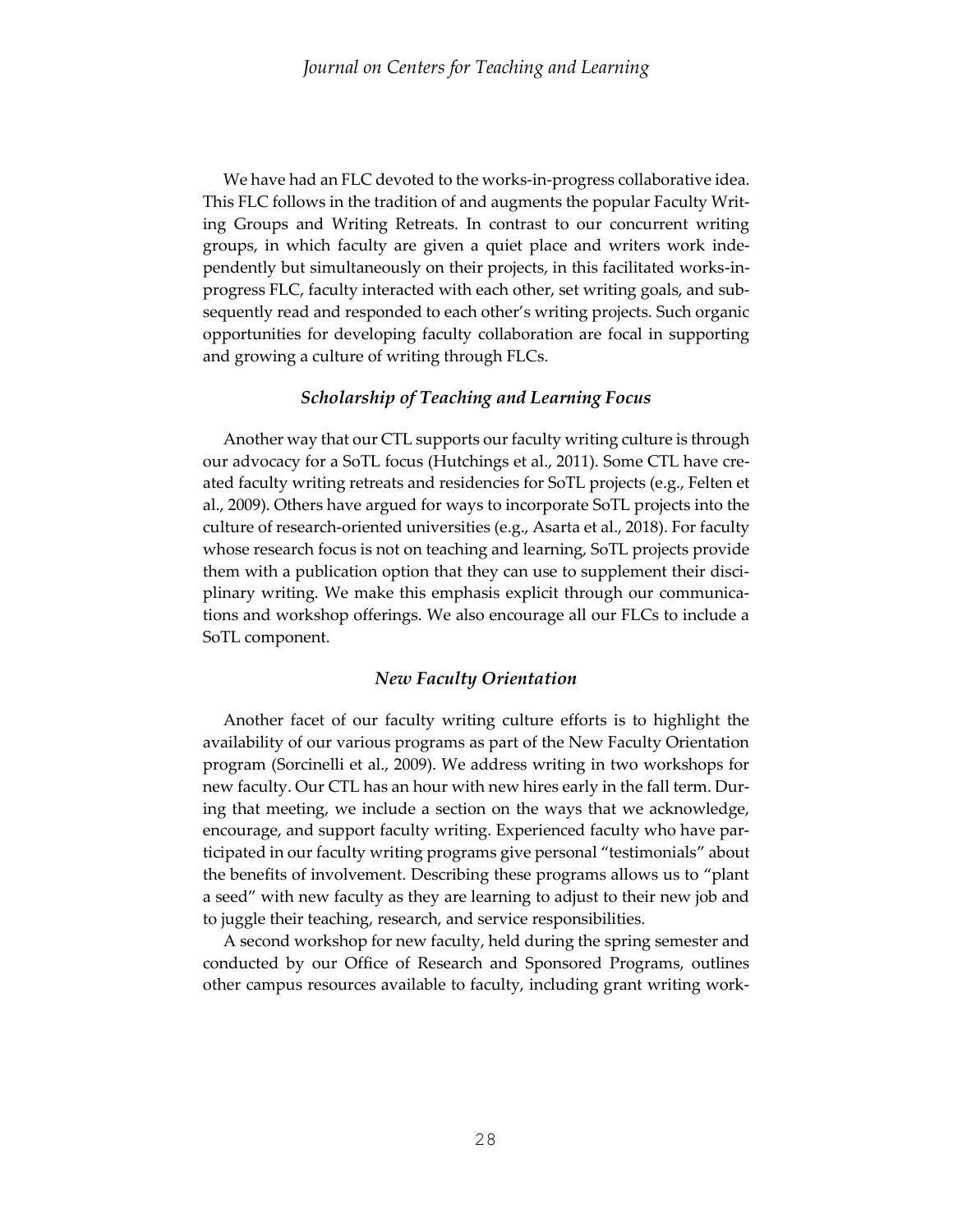We have had an FLC devoted to the works-in-progress collaborative idea. This FLC follows in the tradition of and augments the popular Faculty Writing Groups and Writing Retreats. In contrast to our concurrent writing groups, in which faculty are given a quiet place and writers work independently but simultaneously on their projects, in this facilitated works-inprogress FLC, faculty interacted with each other, set writing goals, and subsequently read and responded to each other's writing projects. Such organic opportunities for developing faculty collaboration are focal in supporting and growing a culture of writing through FLCs.

# *Scholarship of Teaching and Learning Focus*

 Another way that our CTL supports our faculty writing culture is through our advocacy for a SoTL focus (Hutchings et al., 2011). Some CTL have created faculty writing retreats and residencies for SoTL projects (e.g., Felten et al., 2009). Others have argued for ways to incorporate SoTL projects into the culture of research-oriented universities (e.g., Asarta et al., 2018). For faculty whose research focus is not on teaching and learning, SoTL projects provide them with a publication option that they can use to supplement their disciplinary writing. We make this emphasis explicit through our communications and workshop offerings. We also encourage all our FLCs to include a SoTL component.

### *New Faculty Orientation*

 Another facet of our faculty writing culture efforts is to highlight the availability of our various programs as part of the New Faculty Orientation program (Sorcinelli et al., 2009). We address writing in two workshops for new faculty. Our CTL has an hour with new hires early in the fall term. During that meeting, we include a section on the ways that we acknowledge, encourage, and support faculty writing. Experienced faculty who have participated in our faculty writing programs give personal "testimonials" about the benefits of involvement. Describing these programs allows us to "plant a seed" with new faculty as they are learning to adjust to their new job and to juggle their teaching, research, and service responsibilities.

 A second workshop for new faculty, held during the spring semester and conducted by our Office of Research and Sponsored Programs, outlines other campus resources available to faculty, including grant writing work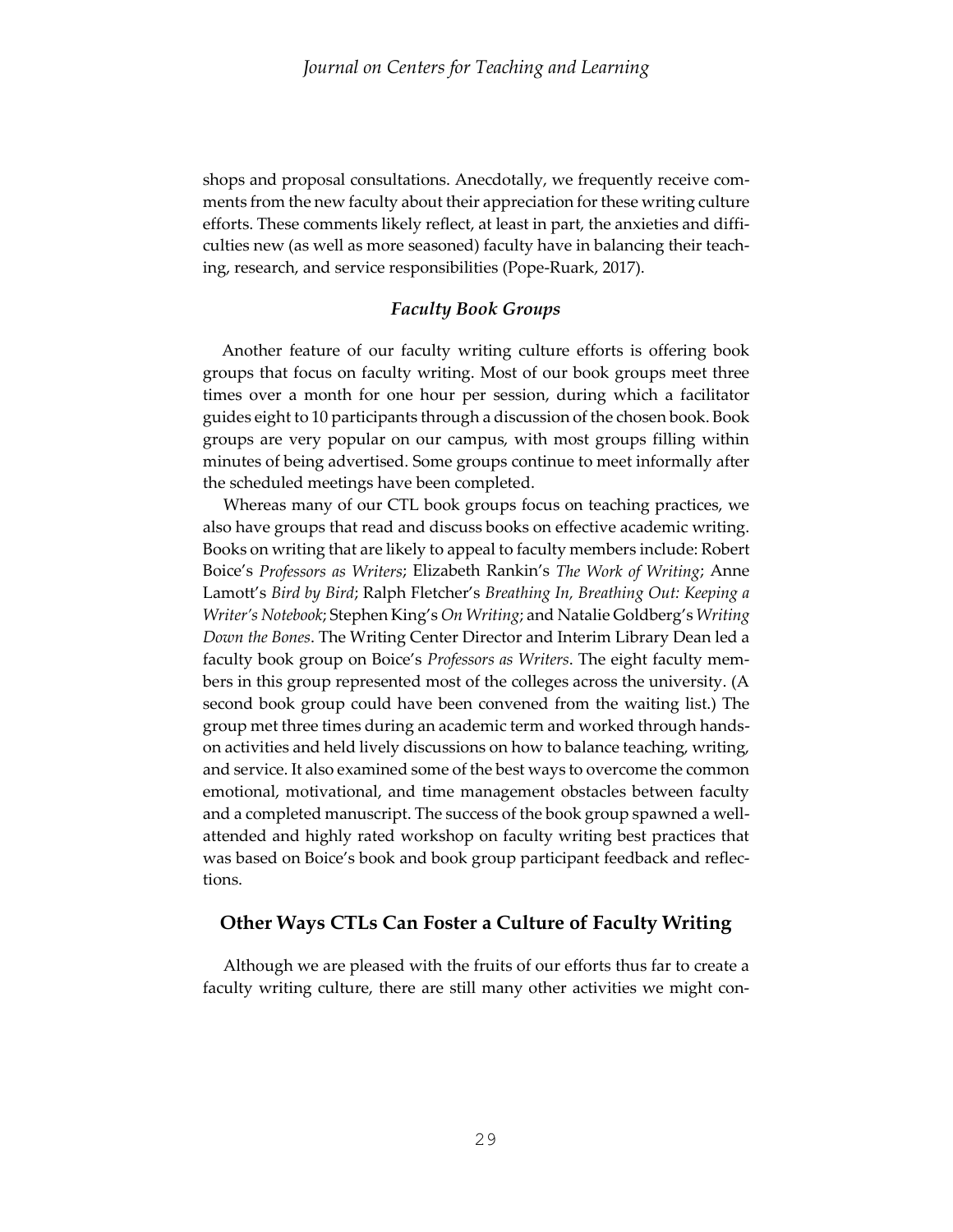shops and proposal consultations. Anecdotally, we frequently receive comments from the new faculty about their appreciation for these writing culture efforts. These comments likely reflect, at least in part, the anxieties and difficulties new (as well as more seasoned) faculty have in balancing their teaching, research, and service responsibilities (Pope-Ruark, 2017).

### *Faculty Book Groups*

Another feature of our faculty writing culture efforts is offering book groups that focus on faculty writing. Most of our book groups meet three times over a month for one hour per session, during which a facilitator guides eight to 10 participants through a discussion of the chosen book. Book groups are very popular on our campus, with most groups filling within minutes of being advertised. Some groups continue to meet informally after the scheduled meetings have been completed.

 Whereas many of our CTL book groups focus on teaching practices, we also have groups that read and discuss books on effective academic writing. Books on writing that are likely to appeal to faculty members include: Robert Boice's *Professors as Writers*; Elizabeth Rankin's *The Work of Writing*; Anne Lamott's *Bird by Bird*; Ralph Fletcher's *Breathing In, Breathing Out: Keeping a Writer's Notebook*; Stephen King's *On Writing*; and Natalie Goldberg's *Writing Down the Bones*. The Writing Center Director and Interim Library Dean led a faculty book group on Boice's *Professors as Writers*. The eight faculty members in this group represented most of the colleges across the university. (A second book group could have been convened from the waiting list.) The group met three times during an academic term and worked through handson activities and held lively discussions on how to balance teaching, writing, and service. It also examined some of the best ways to overcome the common emotional, motivational, and time management obstacles between faculty and a completed manuscript. The success of the book group spawned a wellattended and highly rated workshop on faculty writing best practices that was based on Boice's book and book group participant feedback and reflections.

# **Other Ways CTLs Can Foster a Culture of Faculty Writing**

 Although we are pleased with the fruits of our efforts thus far to create a faculty writing culture, there are still many other activities we might con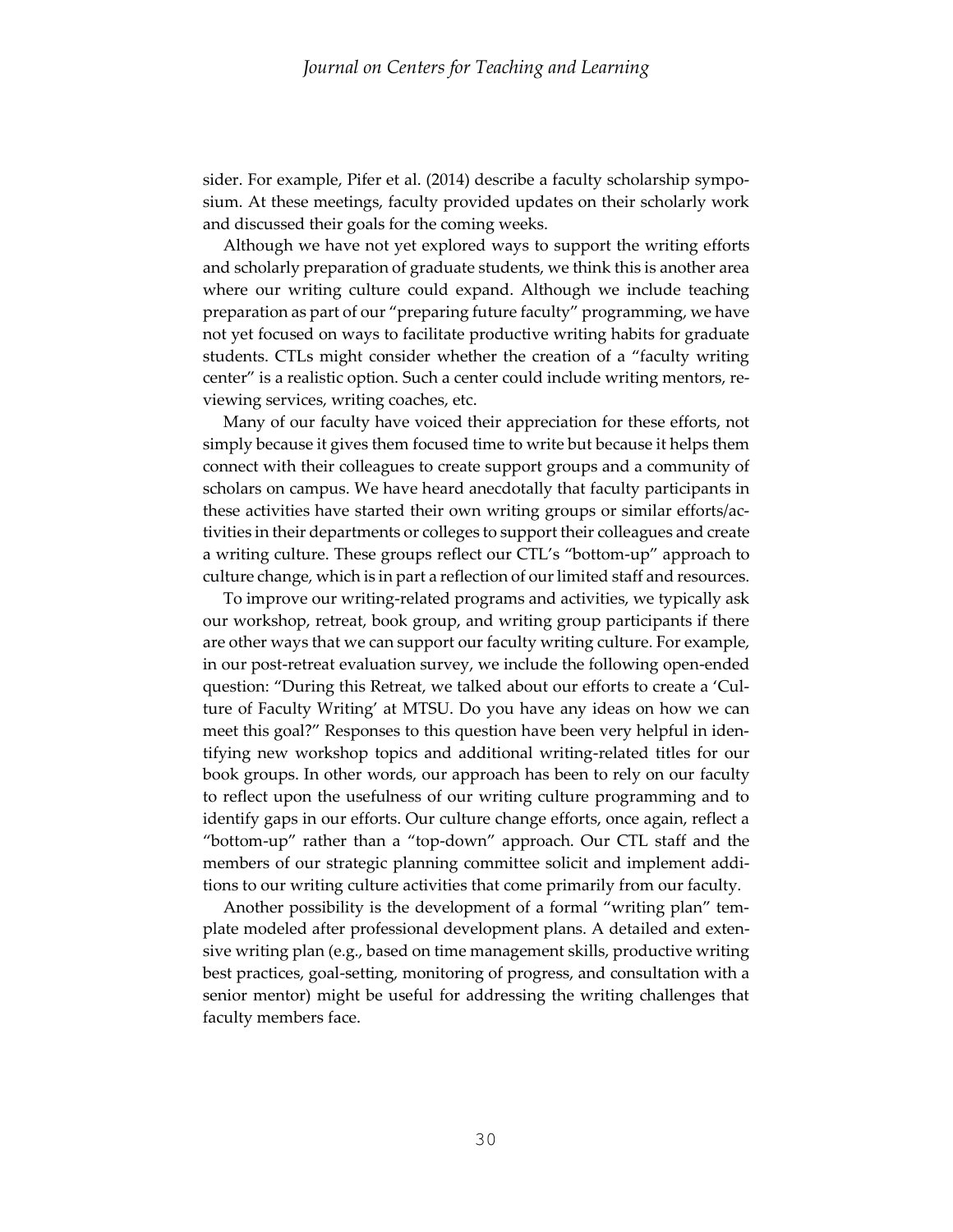sider. For example, Pifer et al. (2014) describe a faculty scholarship symposium. At these meetings, faculty provided updates on their scholarly work and discussed their goals for the coming weeks.

 Although we have not yet explored ways to support the writing efforts and scholarly preparation of graduate students, we think this is another area where our writing culture could expand. Although we include teaching preparation as part of our "preparing future faculty" programming, we have not yet focused on ways to facilitate productive writing habits for graduate students. CTLs might consider whether the creation of a "faculty writing center" is a realistic option. Such a center could include writing mentors, reviewing services, writing coaches, etc.

 Many of our faculty have voiced their appreciation for these efforts, not simply because it gives them focused time to write but because it helps them connect with their colleagues to create support groups and a community of scholars on campus. We have heard anecdotally that faculty participants in these activities have started their own writing groups or similar efforts/activities in their departments or colleges to support their colleagues and create a writing culture. These groups reflect our CTL's "bottom-up" approach to culture change, which is in part a reflection of our limited staff and resources.

 To improve our writing-related programs and activities, we typically ask our workshop, retreat, book group, and writing group participants if there are other ways that we can support our faculty writing culture. For example, in our post-retreat evaluation survey, we include the following open-ended question: "During this Retreat, we talked about our efforts to create a 'Culture of Faculty Writing' at MTSU. Do you have any ideas on how we can meet this goal?" Responses to this question have been very helpful in identifying new workshop topics and additional writing-related titles for our book groups. In other words, our approach has been to rely on our faculty to reflect upon the usefulness of our writing culture programming and to identify gaps in our efforts. Our culture change efforts, once again, reflect a "bottom-up" rather than a "top-down" approach. Our CTL staff and the members of our strategic planning committee solicit and implement additions to our writing culture activities that come primarily from our faculty.

 Another possibility is the development of a formal "writing plan" template modeled after professional development plans. A detailed and extensive writing plan (e.g., based on time management skills, productive writing best practices, goal-setting, monitoring of progress, and consultation with a senior mentor) might be useful for addressing the writing challenges that faculty members face.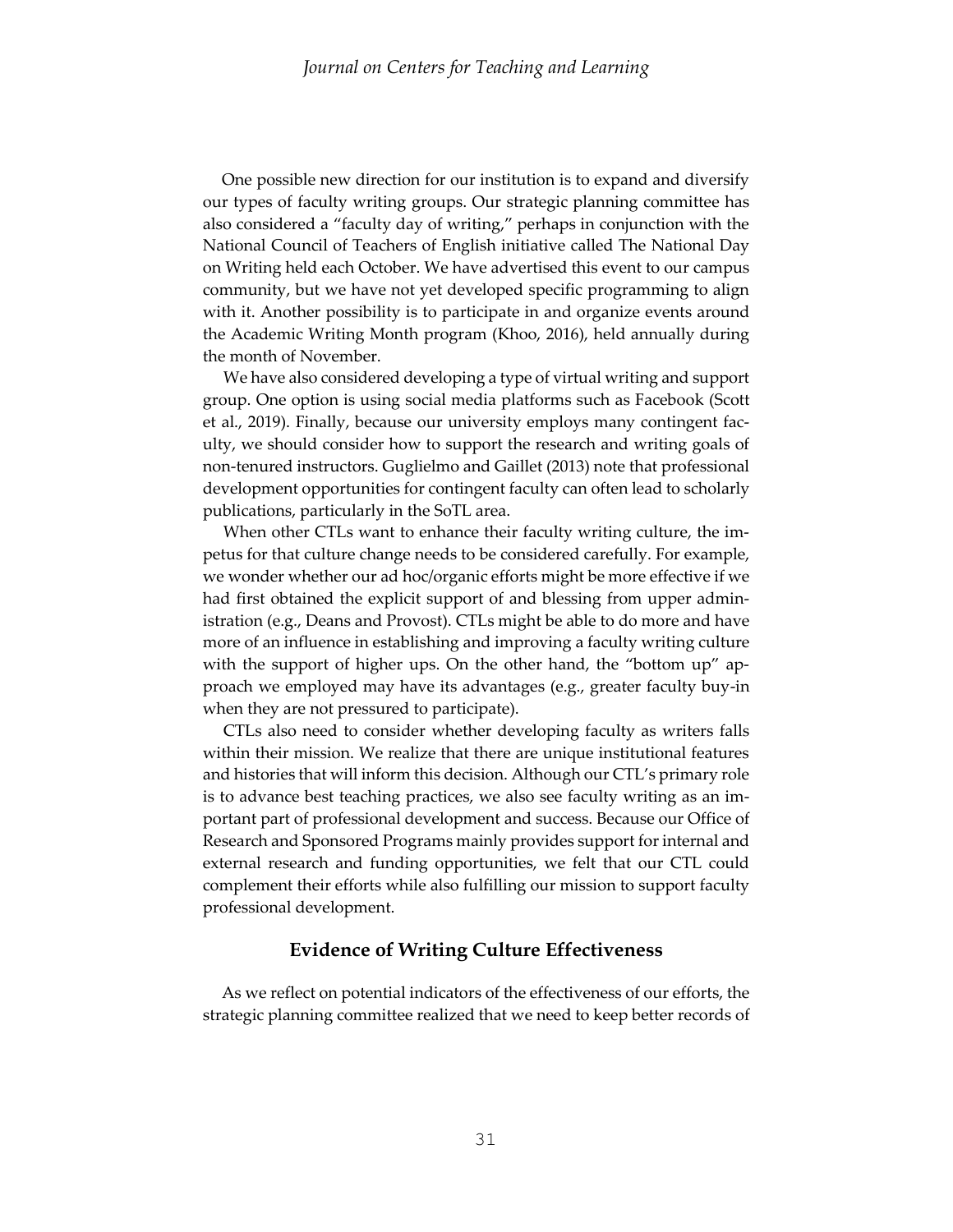One possible new direction for our institution is to expand and diversify our types of faculty writing groups. Our strategic planning committee has also considered a "faculty day of writing," perhaps in conjunction with the National Council of Teachers of English initiative called The National Day on Writing held each October. We have advertised this event to our campus community, but we have not yet developed specific programming to align with it. Another possibility is to participate in and organize events around the Academic Writing Month program (Khoo, 2016), held annually during the month of November.

 We have also considered developing a type of virtual writing and support group. One option is using social media platforms such as Facebook (Scott et al., 2019). Finally, because our university employs many contingent faculty, we should consider how to support the research and writing goals of non-tenured instructors. Guglielmo and Gaillet (2013) note that professional development opportunities for contingent faculty can often lead to scholarly publications, particularly in the SoTL area.

 When other CTLs want to enhance their faculty writing culture, the impetus for that culture change needs to be considered carefully. For example, we wonder whether our ad hoc/organic efforts might be more effective if we had first obtained the explicit support of and blessing from upper administration (e.g., Deans and Provost). CTLs might be able to do more and have more of an influence in establishing and improving a faculty writing culture with the support of higher ups. On the other hand, the "bottom up" approach we employed may have its advantages (e.g., greater faculty buy-in when they are not pressured to participate).

 CTLs also need to consider whether developing faculty as writers falls within their mission. We realize that there are unique institutional features and histories that will inform this decision. Although our CTL's primary role is to advance best teaching practices, we also see faculty writing as an important part of professional development and success. Because our Office of Research and Sponsored Programs mainly provides support for internal and external research and funding opportunities, we felt that our CTL could complement their efforts while also fulfilling our mission to support faculty professional development.

# **Evidence of Writing Culture Effectiveness**

As we reflect on potential indicators of the effectiveness of our efforts, the strategic planning committee realized that we need to keep better records of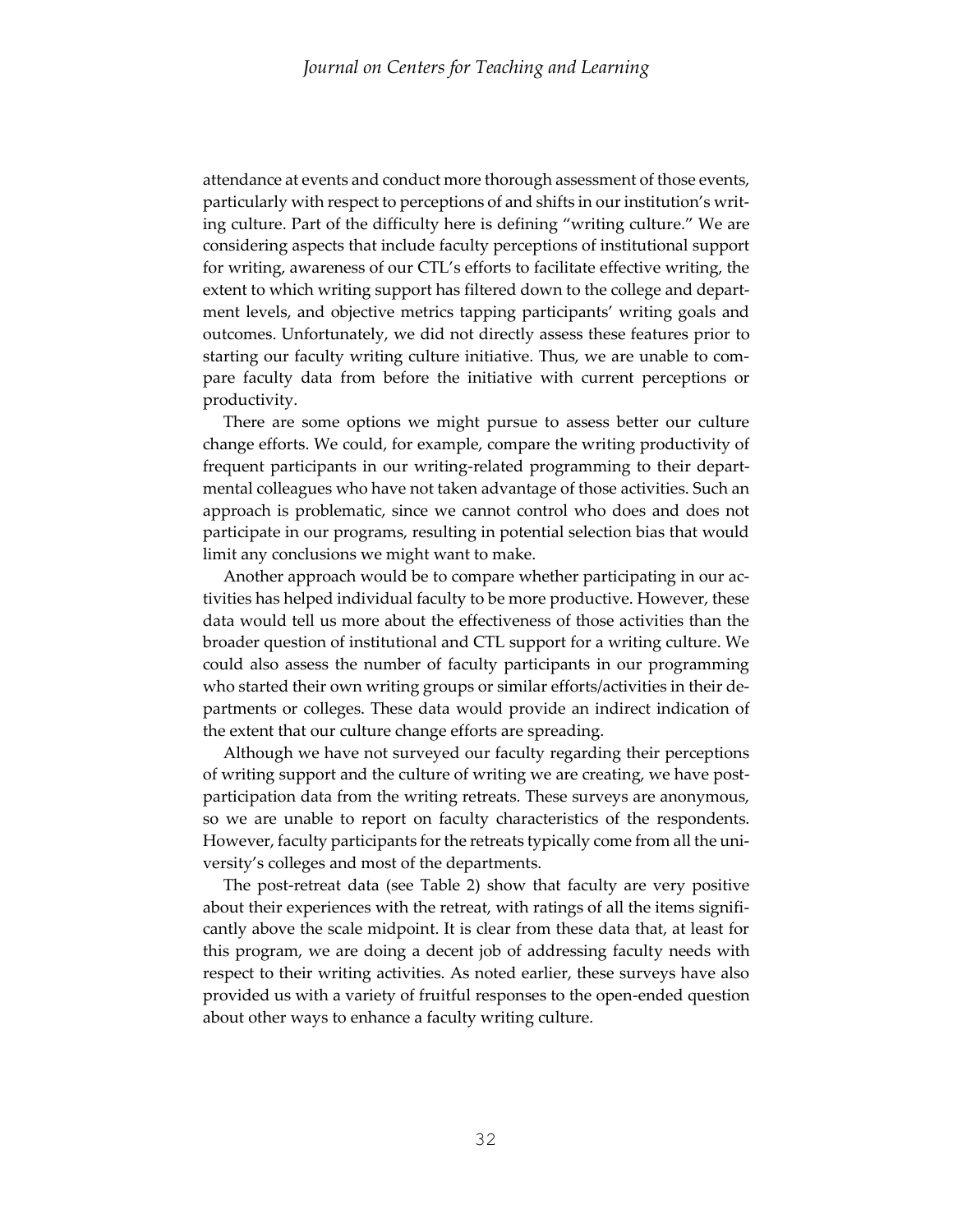attendance at events and conduct more thorough assessment of those events, particularly with respect to perceptions of and shifts in our institution's writing culture. Part of the difficulty here is defining "writing culture." We are considering aspects that include faculty perceptions of institutional support for writing, awareness of our CTL's efforts to facilitate effective writing, the extent to which writing support has filtered down to the college and department levels, and objective metrics tapping participants' writing goals and outcomes. Unfortunately, we did not directly assess these features prior to starting our faculty writing culture initiative. Thus, we are unable to compare faculty data from before the initiative with current perceptions or productivity.

 There are some options we might pursue to assess better our culture change efforts. We could, for example, compare the writing productivity of frequent participants in our writing-related programming to their departmental colleagues who have not taken advantage of those activities. Such an approach is problematic, since we cannot control who does and does not participate in our programs, resulting in potential selection bias that would limit any conclusions we might want to make.

 Another approach would be to compare whether participating in our activities has helped individual faculty to be more productive. However, these data would tell us more about the effectiveness of those activities than the broader question of institutional and CTL support for a writing culture. We could also assess the number of faculty participants in our programming who started their own writing groups or similar efforts/activities in their departments or colleges. These data would provide an indirect indication of the extent that our culture change efforts are spreading.

 Although we have not surveyed our faculty regarding their perceptions of writing support and the culture of writing we are creating, we have postparticipation data from the writing retreats. These surveys are anonymous, so we are unable to report on faculty characteristics of the respondents. However, faculty participants for the retreats typically come from all the university's colleges and most of the departments.

 The post-retreat data (see Table 2) show that faculty are very positive about their experiences with the retreat, with ratings of all the items significantly above the scale midpoint. It is clear from these data that, at least for this program, we are doing a decent job of addressing faculty needs with respect to their writing activities. As noted earlier, these surveys have also provided us with a variety of fruitful responses to the open-ended question about other ways to enhance a faculty writing culture.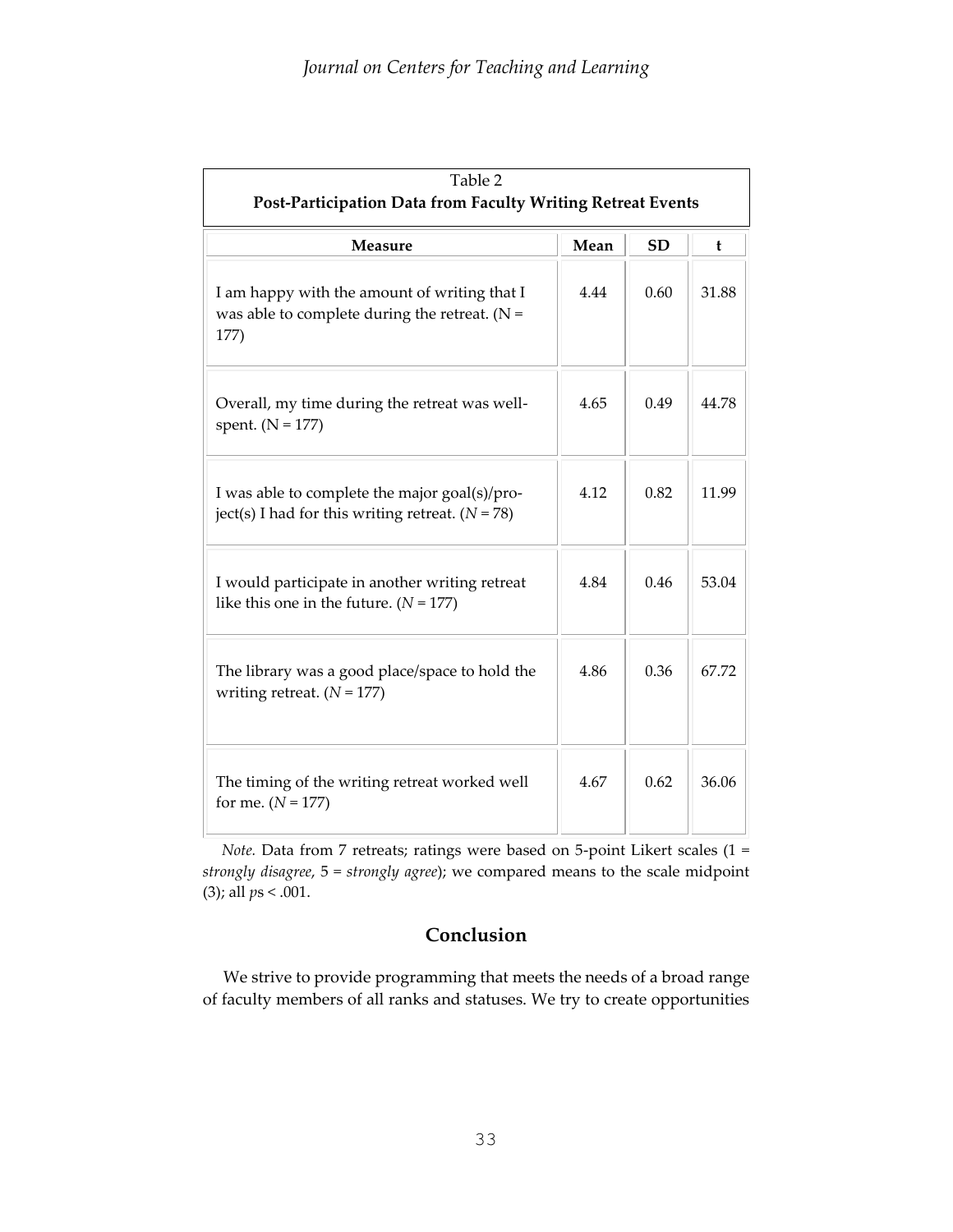| Table 2<br>Post-Participation Data from Faculty Writing Retreat Events                                  |      |           |       |  |  |  |  |
|---------------------------------------------------------------------------------------------------------|------|-----------|-------|--|--|--|--|
| <b>Measure</b>                                                                                          | Mean | <b>SD</b> | t     |  |  |  |  |
| I am happy with the amount of writing that I<br>was able to complete during the retreat. $(N =$<br>177) | 4.44 | 0.60      | 31.88 |  |  |  |  |
| Overall, my time during the retreat was well-<br>spent. $(N = 177)$                                     | 4.65 | 0.49      | 44.78 |  |  |  |  |
| I was able to complete the major goal(s)/pro-<br>ject(s) I had for this writing retreat. $(N = 78)$     | 4.12 | 0.82      | 11.99 |  |  |  |  |
| I would participate in another writing retreat<br>like this one in the future. $(N = 177)$              | 4.84 | 0.46      | 53.04 |  |  |  |  |
| The library was a good place/space to hold the<br>writing retreat. $(N = 177)$                          | 4.86 | 0.36      | 67.72 |  |  |  |  |
| The timing of the writing retreat worked well<br>for me. $(N = 177)$                                    | 4.67 | 0.62      | 36.06 |  |  |  |  |

*Note.* Data from 7 retreats; ratings were based on 5-point Likert scales (1 = *strongly disagree*, 5 = *strongly agree*); we compared means to the scale midpoint (3); all *p*s < .001.

# **Conclusion**

 We strive to provide programming that meets the needs of a broad range of faculty members of all ranks and statuses. We try to create opportunities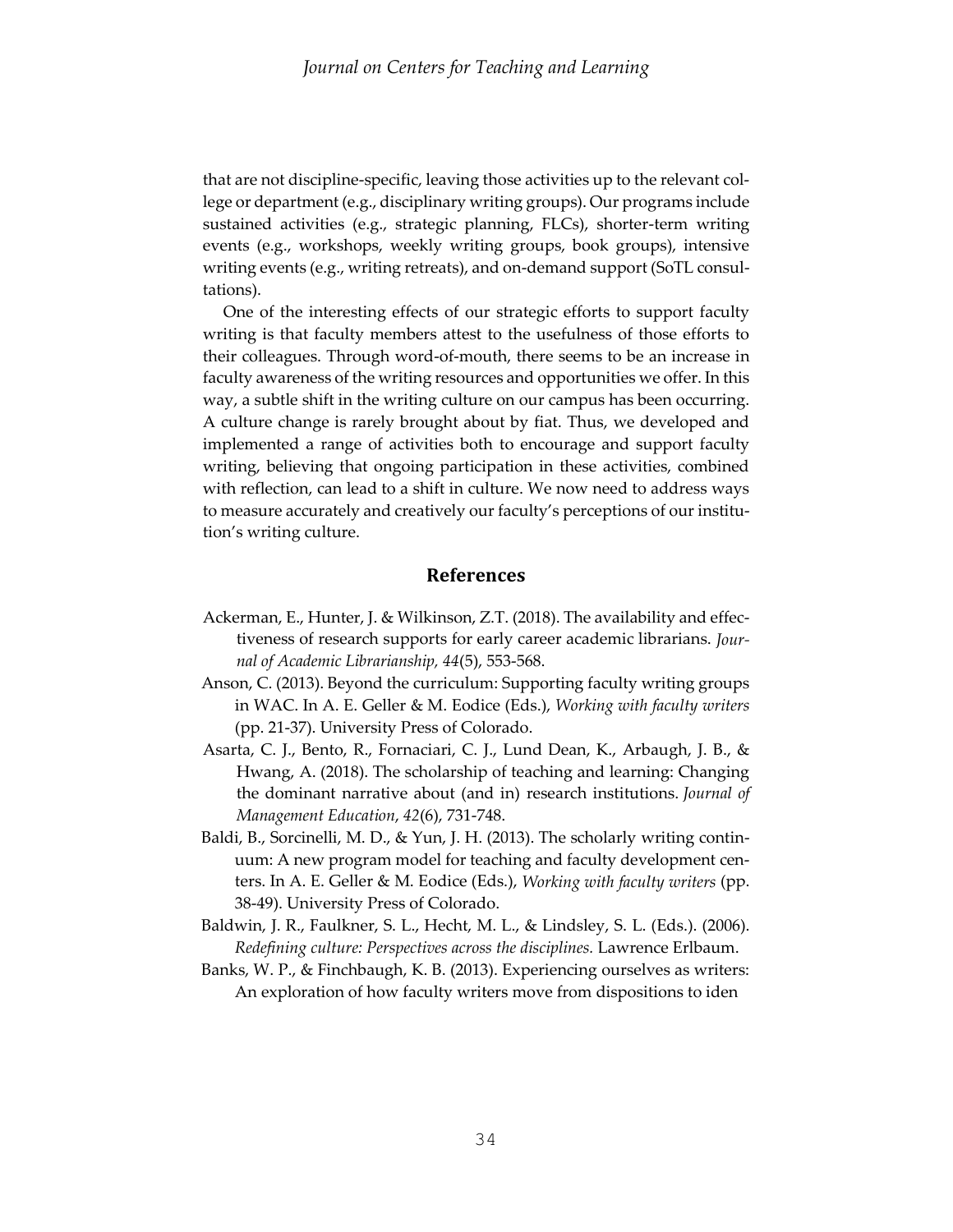that are not discipline-specific, leaving those activities up to the relevant college or department (e.g., disciplinary writing groups). Our programs include sustained activities (e.g., strategic planning, FLCs), shorter-term writing events (e.g., workshops, weekly writing groups, book groups), intensive writing events (e.g., writing retreats), and on-demand support (SoTL consultations).

 One of the interesting effects of our strategic efforts to support faculty writing is that faculty members attest to the usefulness of those efforts to their colleagues. Through word-of-mouth, there seems to be an increase in faculty awareness of the writing resources and opportunities we offer. In this way, a subtle shift in the writing culture on our campus has been occurring. A culture change is rarely brought about by fiat. Thus, we developed and implemented a range of activities both to encourage and support faculty writing, believing that ongoing participation in these activities, combined with reflection, can lead to a shift in culture. We now need to address ways to measure accurately and creatively our faculty's perceptions of our institution's writing culture.

# **References**

- Ackerman, E., Hunter, J. & Wilkinson, Z.T. (2018). The availability and effectiveness of research supports for early career academic librarians. *Journal of Academic Librarianship, 44*(5), 553-568.
- Anson, C. (2013). Beyond the curriculum: Supporting faculty writing groups in WAC. In A. E. Geller & M. Eodice (Eds.), *Working with faculty writers* (pp. 21-37). University Press of Colorado.
- Asarta, C. J., Bento, R., Fornaciari, C. J., Lund Dean, K., Arbaugh, J. B., & Hwang, A. (2018). The scholarship of teaching and learning: Changing the dominant narrative about (and in) research institutions. *Journal of Management Education*, *42*(6), 731-748.
- Baldi, B., Sorcinelli, M. D., & Yun, J. H. (2013). The scholarly writing continuum: A new program model for teaching and faculty development centers. In A. E. Geller & M. Eodice (Eds.), *Working with faculty writers* (pp. 38-49). University Press of Colorado.
- Baldwin, J. R., Faulkner, S. L., Hecht, M. L., & Lindsley, S. L. (Eds.). (2006). *Redefining culture: Perspectives across the disciplines.* Lawrence Erlbaum.
- Banks, W. P., & Finchbaugh, K. B. (2013). Experiencing ourselves as writers: An exploration of how faculty writers move from dispositions to iden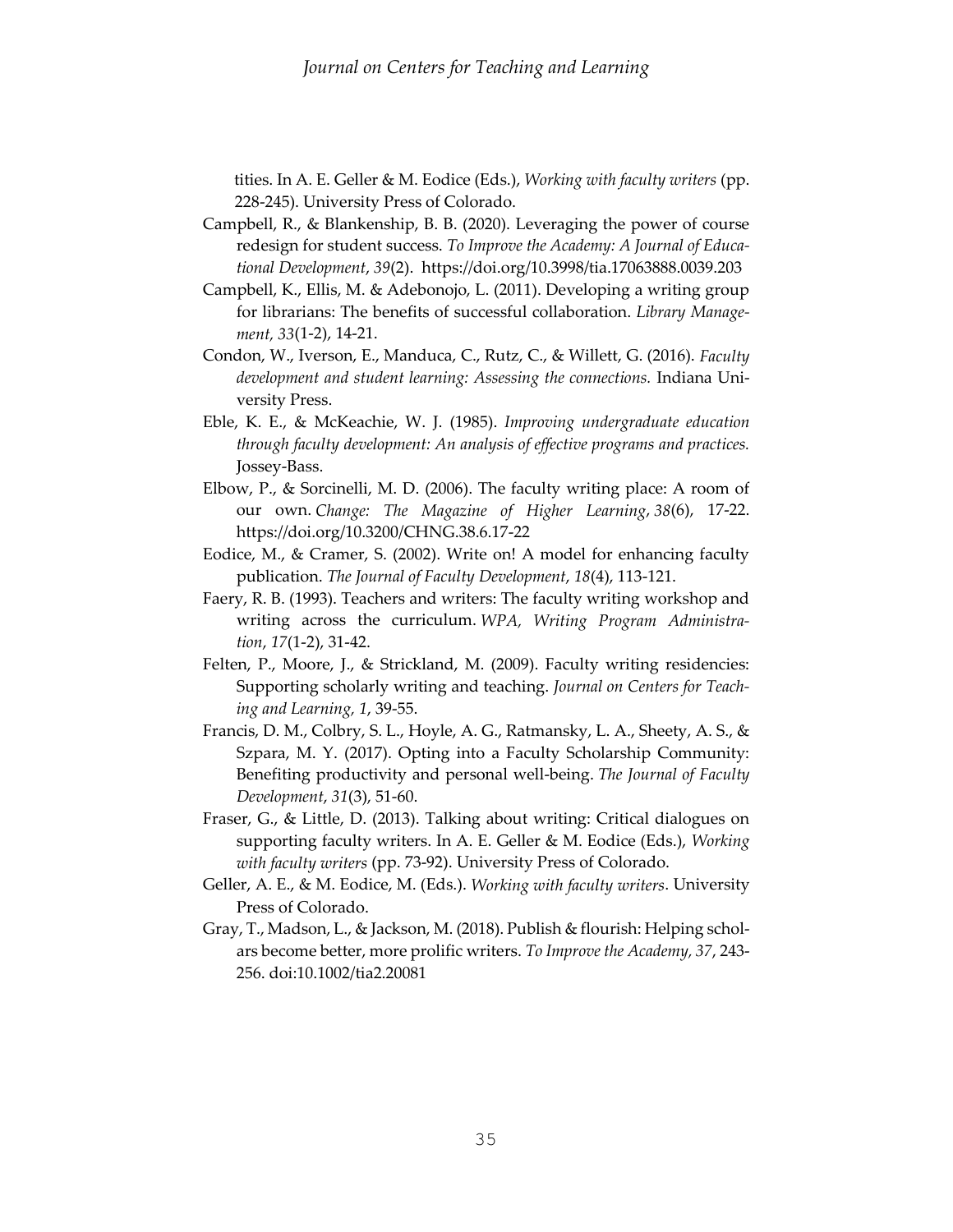tities. In A. E. Geller & M. Eodice (Eds.), *Working with faculty writers* (pp. 228-245). University Press of Colorado.

- Campbell, R., & Blankenship, B. B. (2020). Leveraging the power of course redesign for student success. *To Improve the Academy: A Journal of Educational Development*, *39*(2). <https://doi.org/10.3998/tia.17063888.0039.203>
- Campbell, K., Ellis, M. & Adebonojo, L. (2011). Developing a writing group for librarians: The benefits of successful collaboration. *Library Management, 33*(1-2), 14-21.
- Condon, W., Iverson, E., Manduca, C., Rutz, C., & Willett, G. (2016). *Faculty development and student learning: Assessing the connections.* Indiana University Press.
- Eble, K. E., & McKeachie, W. J. (1985). *Improving undergraduate education through faculty development: An analysis of effective programs and practices.*  Jossey-Bass.
- Elbow, P., & Sorcinelli, M. D. (2006). The faculty writing place: A room of our own. *Change: The Magazine of Higher Learning*, *38*(6), 17-22. <https://doi.org/10.3200/CHNG.38.6.17-22>
- Eodice, M., & Cramer, S. (2002). Write on! A model for enhancing faculty publication. *The Journal of Faculty Development*, *18*(4), 113-121.
- Faery, R. B. (1993). Teachers and writers: The faculty writing workshop and writing across the curriculum. *WPA, Writing Program Administration*, *17*(1-2), 31-42.
- Felten, P., Moore, J., & Strickland, M. (2009). Faculty writing residencies: Supporting scholarly writing and teaching. *Journal on Centers for Teaching and Learning, 1*, 39-55.
- Francis, D. M., Colbry, S. L., Hoyle, A. G., Ratmansky, L. A., Sheety, A. S., & Szpara, M. Y. (2017). Opting into a Faculty Scholarship Community: Benefiting productivity and personal well-being. *The Journal of Faculty Development*, *31*(3), 51-60.
- Fraser, G., & Little, D. (2013). Talking about writing: Critical dialogues on supporting faculty writers. In A. E. Geller & M. Eodice (Eds.), *Working with faculty writers* (pp. 73-92). University Press of Colorado.
- Geller, A. E., & M. Eodice, M. (Eds.). *Working with faculty writers*. University Press of Colorado.
- Gray, T., Madson, L., & Jackson, M. (2018). Publish & flourish: Helping scholars become better, more prolific writers. *To Improve the Academy, 37*, 243- 256. doi:10.1002/tia2.20081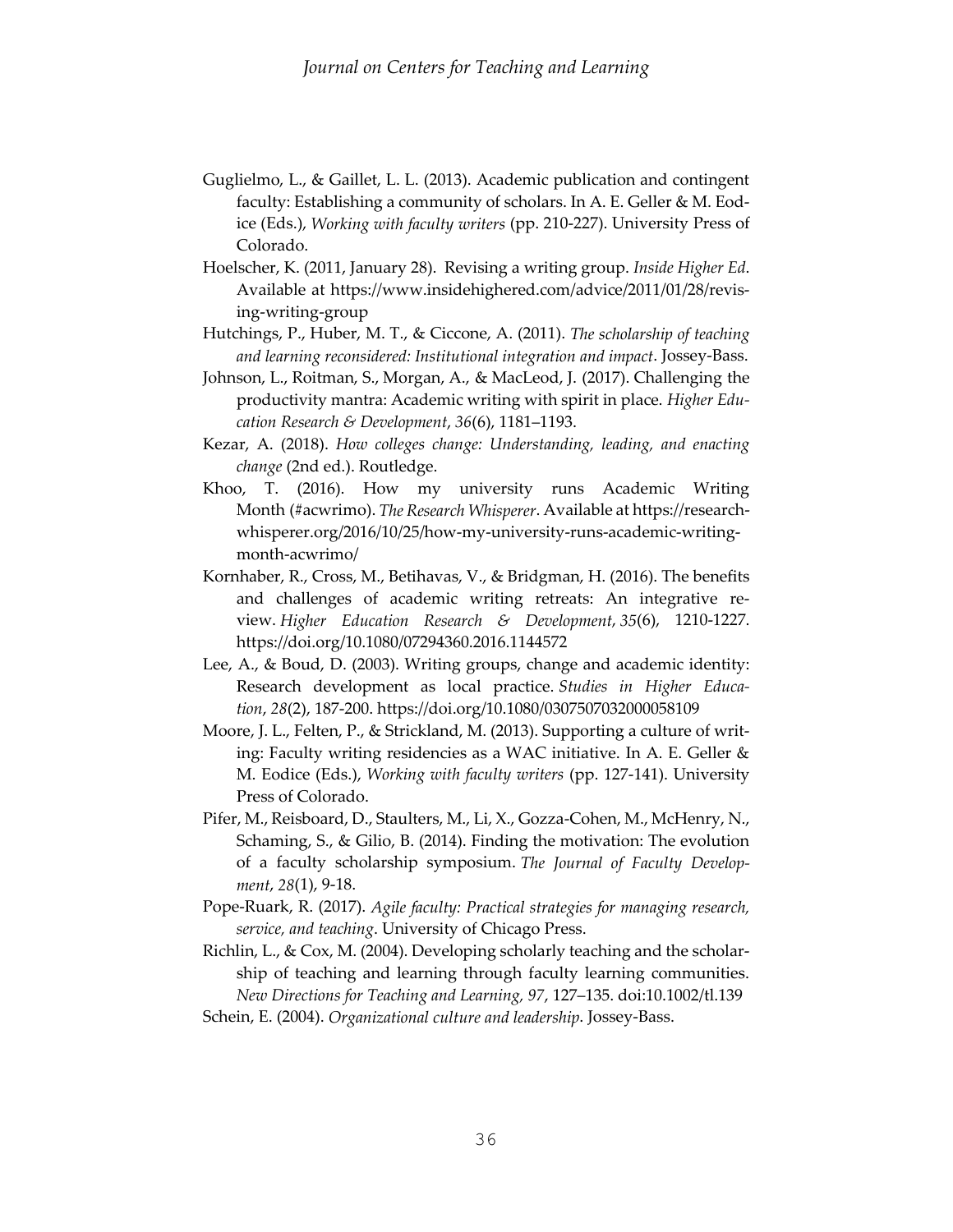- Guglielmo, L., & Gaillet, L. L. (2013). Academic publication and contingent faculty: Establishing a community of scholars. In A. E. Geller & M. Eodice (Eds.), *Working with faculty writers* (pp. 210-227). University Press of Colorado.
- Hoelscher, K. (2011, January 28). Revising a writing group. *Inside Higher Ed*. Available at [https://www.insidehighered.com/advice/2011/01/28/revis](https://www.insidehighered.com/advice/2011/01/28/revising-writing-group)[ing-writing-group](https://www.insidehighered.com/advice/2011/01/28/revising-writing-group)
- Hutchings, P., Huber, M. T., & Ciccone, A. (2011). *The scholarship of teaching and learning reconsidered: Institutional integration and impact*. Jossey-Bass.
- Johnson, L., Roitman, S., Morgan, A., & MacLeod, J. (2017). Challenging the productivity mantra: Academic writing with spirit in place. *Higher Education Research & Development*, *36*(6), 1181–1193.
- Kezar, A. (2018). *How colleges change: Understanding, leading, and enacting change* (2nd ed.). Routledge.
- Khoo, T. (2016). How my university runs Academic Writing Month (#acwrimo). *The Research Whisperer*. Available a[t https://research](https://researchwhisperer.org/2016/10/25/how-my-university-runs-academic-writing-month-acwrimo/)[whisperer.org/2016/10/25/how-my-university-runs-academic-writing](https://researchwhisperer.org/2016/10/25/how-my-university-runs-academic-writing-month-acwrimo/)[month-acwrimo/](https://researchwhisperer.org/2016/10/25/how-my-university-runs-academic-writing-month-acwrimo/)
- Kornhaber, R., Cross, M., Betihavas, V., & Bridgman, H. (2016). The benefits and challenges of academic writing retreats: An integrative review. *Higher Education Research & Development*, *35*(6), 1210-1227. <https://doi.org/10.1080/07294360.2016.1144572>
- Lee, A., & Boud, D. (2003). Writing groups, change and academic identity: Research development as local practice. *Studies in Higher Education*, *28*(2), 187-200. <https://doi.org/10.1080/0307507032000058109>
- Moore, J. L., Felten, P., & Strickland, M. (2013). Supporting a culture of writing: Faculty writing residencies as a WAC initiative. In A. E. Geller & M. Eodice (Eds.), *Working with faculty writers* (pp. 127-141). University Press of Colorado.
- Pifer, M., Reisboard, D., Staulters, M., Li, X., Gozza-Cohen, M., McHenry, N., Schaming, S., & Gilio, B. (2014). Finding the motivation: The evolution of a faculty scholarship symposium. *The Journal of Faculty Development*, *28*(1), 9-18.
- Pope-Ruark, R. (2017). *Agile faculty: Practical strategies for managing research, service, and teaching*. University of Chicago Press.
- Richlin, L., & Cox, M. (2004). Developing scholarly teaching and the scholarship of teaching and learning through faculty learning communities. *New Directions for Teaching and Learning, 97*, 127–135. doi:10.1002/tl.139
- Schein, E. (2004). *Organizational culture and leadership*. Jossey-Bass.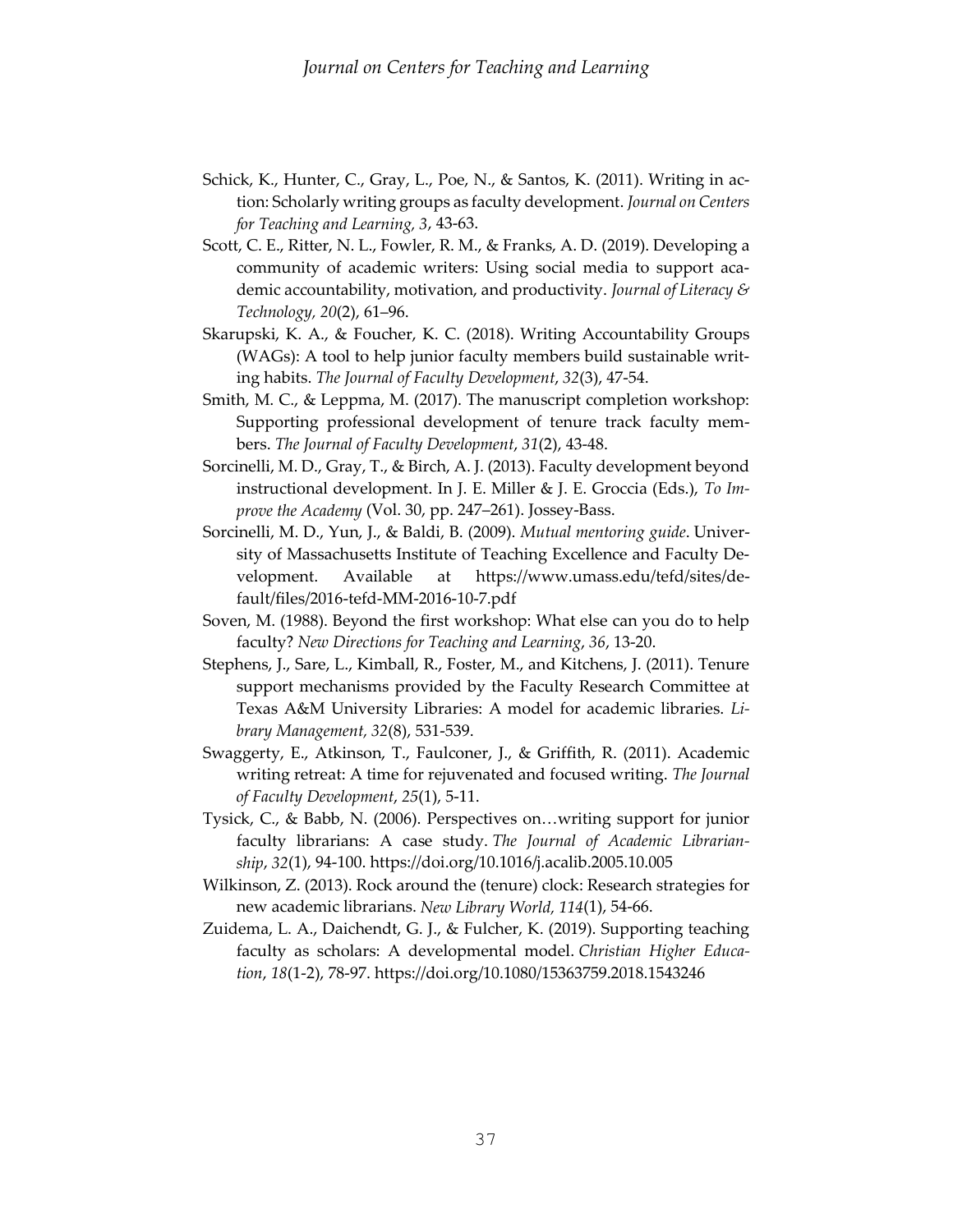- Schick, K., Hunter, C., Gray, L., Poe, N., & Santos, K. (2011). Writing in action: Scholarly writing groups as faculty development. *Journal on Centers for Teaching and Learning, 3*, 43-63.
- Scott, C. E., Ritter, N. L., Fowler, R. M., & Franks, A. D. (2019). Developing a community of academic writers: Using social media to support academic accountability, motivation, and productivity. *Journal of Literacy & Technology, 20*(2), 61–96.
- Skarupski, K. A., & Foucher, K. C. (2018). Writing Accountability Groups (WAGs): A tool to help junior faculty members build sustainable writing habits. *The Journal of Faculty Development*, *32*(3), 47-54.
- Smith, M. C., & Leppma, M. (2017). The manuscript completion workshop: Supporting professional development of tenure track faculty members. *The Journal of Faculty Development*, *31*(2), 43-48.
- Sorcinelli, M. D., Gray, T., & Birch, A. J. (2013). Faculty development beyond instructional development. In J. E. Miller & J. E. Groccia (Eds.), *To Improve the Academy* (Vol. 30, pp. 247–261). Jossey-Bass.
- Sorcinelli, M. D., Yun, J., & Baldi, B. (2009). *Mutual mentoring guide*. University of Massachusetts Institute of Teaching Excellence and Faculty Development. Available at [https://www.umass.edu/tefd/sites/de](https://www.umass.edu/tefd/sites/default/files/2016-tefd-MM-2016-10-7.pdf)[fault/files/2016-tefd-MM-2016-10-7.pdf](https://www.umass.edu/tefd/sites/default/files/2016-tefd-MM-2016-10-7.pdf)
- Soven, M. (1988). Beyond the first workshop: What else can you do to help faculty? *New Directions for Teaching and Learning*, *36*, 13-20.
- Stephens, J., Sare, L., Kimball, R., Foster, M., and Kitchens, J. (2011). Tenure support mechanisms provided by the Faculty Research Committee at Texas A&M University Libraries: A model for academic libraries. *Library Management, 32*(8), 531-539.
- Swaggerty, E., Atkinson, T., Faulconer, J., & Griffith, R. (2011). Academic writing retreat: A time for rejuvenated and focused writing. *The Journal of Faculty Development*, *25*(1), 5-11.
- Tysick, C., & Babb, N. (2006). Perspectives on…writing support for junior faculty librarians: A case study. *The Journal of Academic Librarianship*, *32*(1), 94-100[. https://doi.org/10.1016/j.acalib.2005.10.005](https://doi.org/10.1016/j.acalib.2005.10.005)
- Wilkinson, Z. (2013). Rock around the (tenure) clock: Research strategies for new academic librarians. *New Library World, 114*(1), 54-66.
- Zuidema, L. A., Daichendt, G. J., & Fulcher, K. (2019). Supporting teaching faculty as scholars: A developmental model. *Christian Higher Education*, *18*(1-2), 78-97[. https://doi.org/10.1080/15363759.2018.1543246](https://doi.org/10.1080/15363759.2018.1543246)